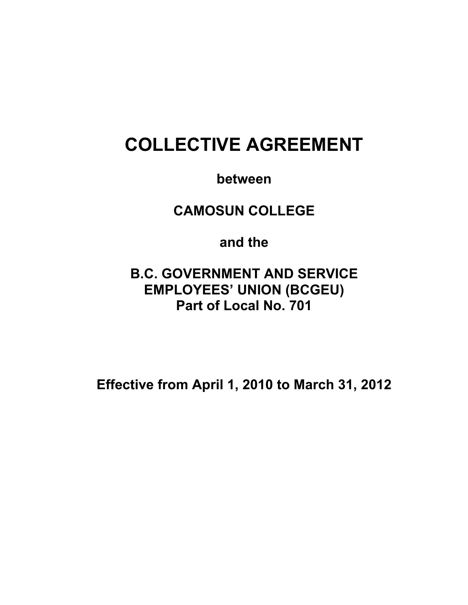# **COLLECTIVE AGREEMENT**

**between** 

**CAMOSUN COLLEGE** 

**and the** 

**B.C. GOVERNMENT AND SERVICE EMPLOYEES' UNION (BCGEU) Part of Local No. 701** 

**Effective from April 1, 2010 to March 31, 2012**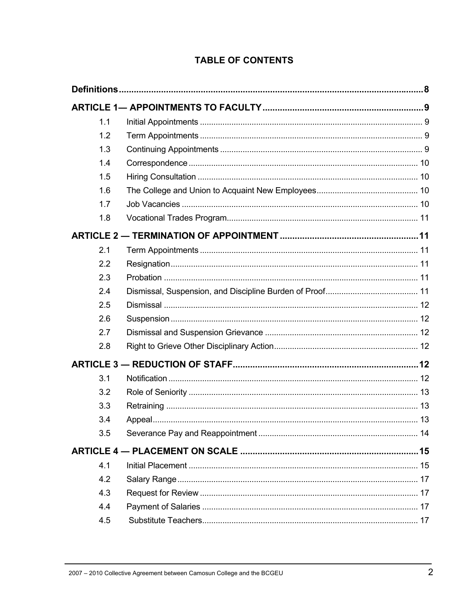| 1.1 |  |  |
|-----|--|--|
| 1.2 |  |  |
| 1.3 |  |  |
| 1.4 |  |  |
| 1.5 |  |  |
| 1.6 |  |  |
| 1.7 |  |  |
| 1.8 |  |  |
|     |  |  |
| 2.1 |  |  |
| 2.2 |  |  |
| 2.3 |  |  |
| 2.4 |  |  |
| 2.5 |  |  |
| 2.6 |  |  |
| 2.7 |  |  |
| 2.8 |  |  |
|     |  |  |
| 3.1 |  |  |
| 3.2 |  |  |
| 3.3 |  |  |
| 3.4 |  |  |
| 3.5 |  |  |
|     |  |  |
| 4.1 |  |  |
| 4.2 |  |  |
| 4.3 |  |  |
| 4.4 |  |  |
| 4.5 |  |  |

### **TABLE OF CONTENTS**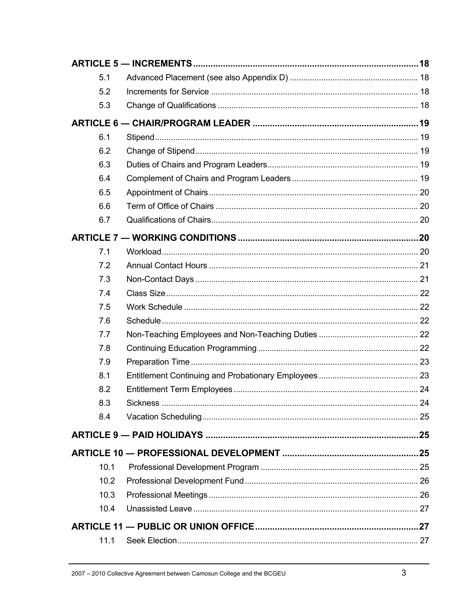| 5.1  |  |
|------|--|
| 5.2  |  |
| 5.3  |  |
|      |  |
| 6.1  |  |
| 6.2  |  |
| 6.3  |  |
| 6.4  |  |
| 6.5  |  |
| 6.6  |  |
| 6.7  |  |
|      |  |
| 7.1  |  |
| 7.2  |  |
| 7.3  |  |
| 7.4  |  |
| 7.5  |  |
| 7.6  |  |
| 7.7  |  |
| 7.8  |  |
| 7.9  |  |
| 8.1  |  |
| 8.2  |  |
| 8.3  |  |
| 8.4  |  |
|      |  |
|      |  |
| 10.1 |  |
| 10.2 |  |
| 10.3 |  |
| 10.4 |  |
|      |  |
| 11.1 |  |
|      |  |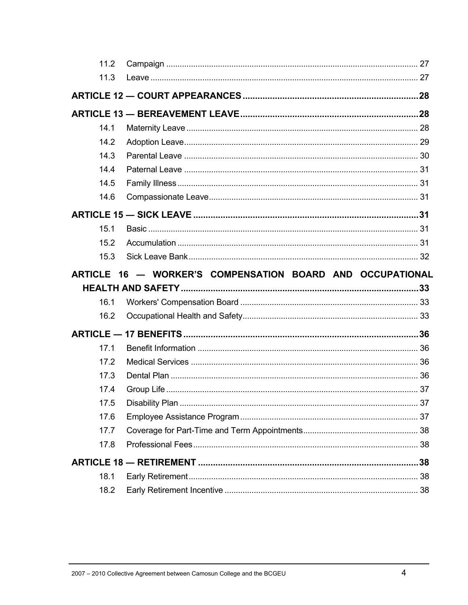| 11.2 |                                                           |  |
|------|-----------------------------------------------------------|--|
| 11.3 |                                                           |  |
|      |                                                           |  |
|      |                                                           |  |
| 14.1 |                                                           |  |
| 14.2 |                                                           |  |
| 14.3 |                                                           |  |
| 14.4 |                                                           |  |
| 14.5 |                                                           |  |
| 14.6 |                                                           |  |
|      |                                                           |  |
| 15.1 |                                                           |  |
| 15.2 |                                                           |  |
| 15.3 |                                                           |  |
|      | ARTICLE 16 - WORKER'S COMPENSATION BOARD AND OCCUPATIONAL |  |
|      |                                                           |  |
|      |                                                           |  |
| 16.1 |                                                           |  |
| 16.2 |                                                           |  |
|      |                                                           |  |
| 17.1 |                                                           |  |
| 17.2 |                                                           |  |
| 17.3 |                                                           |  |
| 17.4 |                                                           |  |
| 17.5 |                                                           |  |
| 17.6 |                                                           |  |
| 17.7 |                                                           |  |
| 17.8 |                                                           |  |
|      |                                                           |  |
| 18.1 |                                                           |  |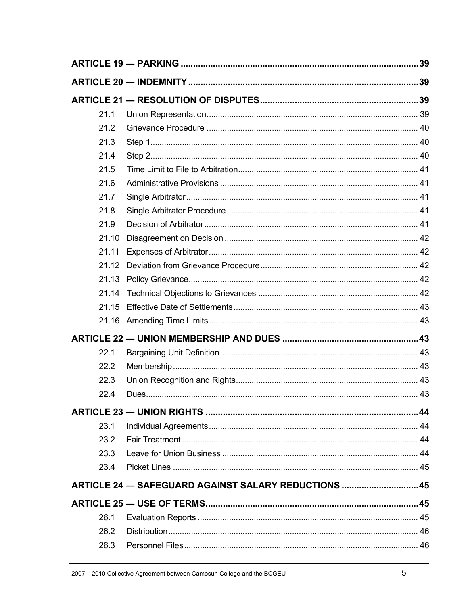| 21.1  |                                                     |  |
|-------|-----------------------------------------------------|--|
| 21.2  |                                                     |  |
| 21.3  |                                                     |  |
| 21.4  |                                                     |  |
| 21.5  |                                                     |  |
| 21.6  |                                                     |  |
| 21.7  |                                                     |  |
| 21.8  |                                                     |  |
| 21.9  |                                                     |  |
| 21.10 |                                                     |  |
| 21.11 |                                                     |  |
| 21.12 |                                                     |  |
| 21.13 |                                                     |  |
| 21.14 |                                                     |  |
| 21.15 |                                                     |  |
|       |                                                     |  |
|       |                                                     |  |
| 22.1  |                                                     |  |
| 22.2  |                                                     |  |
| 22.3  |                                                     |  |
| 22.4  |                                                     |  |
|       |                                                     |  |
| 23.1  |                                                     |  |
| 23.2  |                                                     |  |
| 23.3  |                                                     |  |
| 23.4  |                                                     |  |
|       | ARTICLE 24 - SAFEGUARD AGAINST SALARY REDUCTIONS 45 |  |
|       |                                                     |  |
| 26.1  |                                                     |  |
| 26.2  |                                                     |  |
| 26.3  |                                                     |  |
|       |                                                     |  |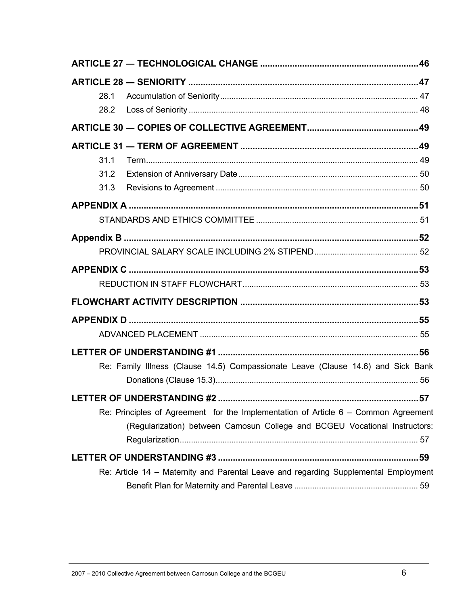| 28.1                                                                                 |  |
|--------------------------------------------------------------------------------------|--|
| 28.2                                                                                 |  |
|                                                                                      |  |
|                                                                                      |  |
| 31.1                                                                                 |  |
| 31.2                                                                                 |  |
| 31.3                                                                                 |  |
|                                                                                      |  |
|                                                                                      |  |
|                                                                                      |  |
|                                                                                      |  |
|                                                                                      |  |
|                                                                                      |  |
|                                                                                      |  |
|                                                                                      |  |
|                                                                                      |  |
|                                                                                      |  |
| Re: Family Illness (Clause 14.5) Compassionate Leave (Clause 14.6) and Sick Bank     |  |
|                                                                                      |  |
| LETTER OF UNDERSTANDING #2<br>.57                                                    |  |
| Re: Principles of Agreement for the Implementation of Article $6 -$ Common Agreement |  |
| (Regularization) between Camosun College and BCGEU Vocational Instructors:           |  |
|                                                                                      |  |
| Re: Article 14 - Maternity and Parental Leave and regarding Supplemental Employment  |  |
|                                                                                      |  |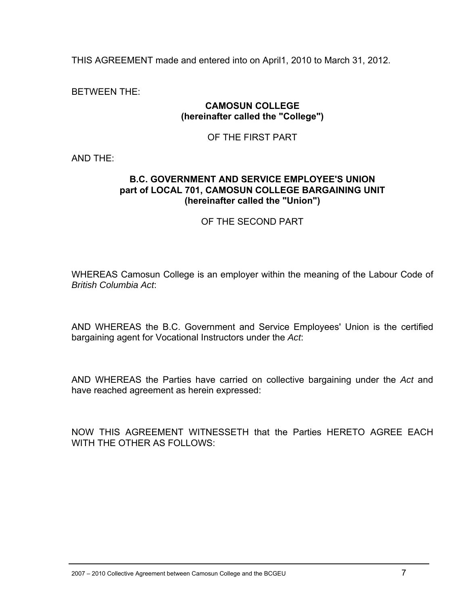THIS AGREEMENT made and entered into on April1, 2010 to March 31, 2012.

BETWEEN THE:

#### **CAMOSUN COLLEGE (hereinafter called the "College")**

#### OF THE FIRST PART

AND THE:

#### **B.C. GOVERNMENT AND SERVICE EMPLOYEE'S UNION part of LOCAL 701, CAMOSUN COLLEGE BARGAINING UNIT (hereinafter called the "Union")**

#### OF THE SECOND PART

WHEREAS Camosun College is an employer within the meaning of the Labour Code of *British Columbia Act*:

AND WHEREAS the B.C. Government and Service Employees' Union is the certified bargaining agent for Vocational Instructors under the *Act*:

AND WHEREAS the Parties have carried on collective bargaining under the *Act* and have reached agreement as herein expressed:

NOW THIS AGREEMENT WITNESSETH that the Parties HERETO AGREE EACH WITH THE OTHER AS FOLLOWS: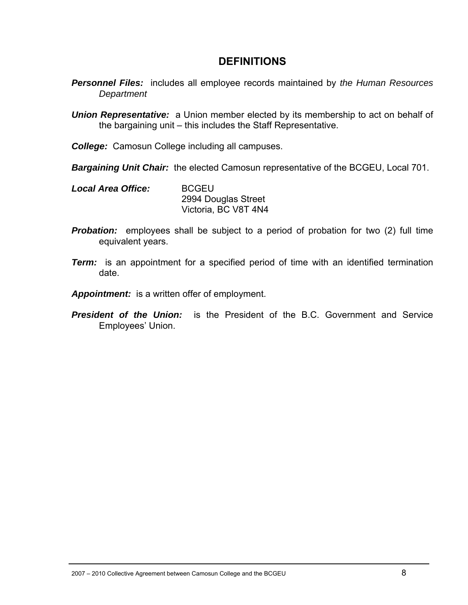### **DEFINITIONS**

- *Personnel Files:* includes all employee records maintained by *the Human Resources Department*
- *Union Representative:* a Union member elected by its membership to act on behalf of the bargaining unit – this includes the Staff Representative.
- *College:* Camosun College including all campuses.
- *Bargaining Unit Chair:* the elected Camosun representative of the BCGEU, Local 701.
- *Local Area Office:* BCGEU 2994 Douglas Street Victoria, BC V8T 4N4
- **Probation:** employees shall be subject to a period of probation for two (2) full time equivalent years.
- *Term:* is an appointment for a specified period of time with an identified termination date.
- *Appointment:* is a written offer of employment.
- *President of the Union:* is the President of the B.C. Government and Service Employees' Union.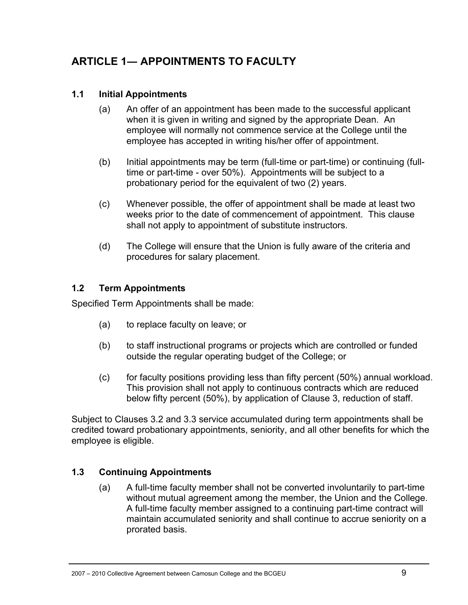# **ARTICLE 1― APPOINTMENTS TO FACULTY**

### **1.1 Initial Appointments**

- (a) An offer of an appointment has been made to the successful applicant when it is given in writing and signed by the appropriate Dean. An employee will normally not commence service at the College until the employee has accepted in writing his/her offer of appointment.
- (b) Initial appointments may be term (full-time or part-time) or continuing (fulltime or part-time - over 50%). Appointments will be subject to a probationary period for the equivalent of two (2) years.
- (c) Whenever possible, the offer of appointment shall be made at least two weeks prior to the date of commencement of appointment. This clause shall not apply to appointment of substitute instructors.
- (d) The College will ensure that the Union is fully aware of the criteria and procedures for salary placement.

### **1.2 Term Appointments**

Specified Term Appointments shall be made:

- (a) to replace faculty on leave; or
- (b) to staff instructional programs or projects which are controlled or funded outside the regular operating budget of the College; or
- (c) for faculty positions providing less than fifty percent (50%) annual workload. This provision shall not apply to continuous contracts which are reduced below fifty percent (50%), by application of Clause 3, reduction of staff.

Subject to Clauses 3.2 and 3.3 service accumulated during term appointments shall be credited toward probationary appointments, seniority, and all other benefits for which the employee is eligible.

### **1.3 Continuing Appointments**

(a) A full-time faculty member shall not be converted involuntarily to part-time without mutual agreement among the member, the Union and the College. A full-time faculty member assigned to a continuing part-time contract will maintain accumulated seniority and shall continue to accrue seniority on a prorated basis.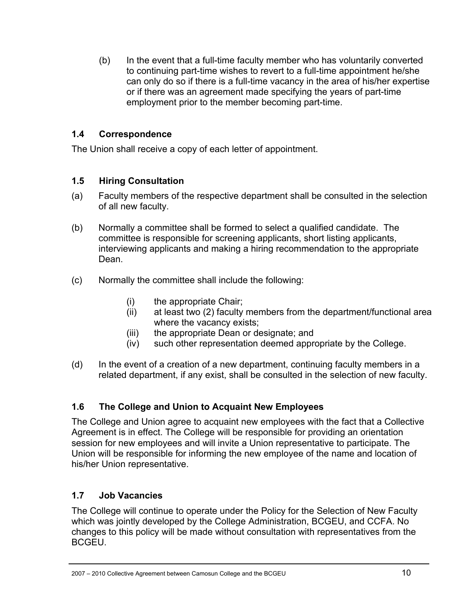(b) In the event that a full-time faculty member who has voluntarily converted to continuing part-time wishes to revert to a full-time appointment he/she can only do so if there is a full-time vacancy in the area of his/her expertise or if there was an agreement made specifying the years of part-time employment prior to the member becoming part-time.

### **1.4 Correspondence**

The Union shall receive a copy of each letter of appointment.

### **1.5 Hiring Consultation**

- (a) Faculty members of the respective department shall be consulted in the selection of all new faculty.
- (b) Normally a committee shall be formed to select a qualified candidate. The committee is responsible for screening applicants, short listing applicants, interviewing applicants and making a hiring recommendation to the appropriate Dean.
- (c) Normally the committee shall include the following:
	- (i) the appropriate Chair;
	- (ii) at least two (2) faculty members from the department/functional area where the vacancy exists;
	- (iii) the appropriate Dean or designate; and
	- (iv) such other representation deemed appropriate by the College.
- (d) In the event of a creation of a new department, continuing faculty members in a related department, if any exist, shall be consulted in the selection of new faculty.

### **1.6 The College and Union to Acquaint New Employees**

The College and Union agree to acquaint new employees with the fact that a Collective Agreement is in effect. The College will be responsible for providing an orientation session for new employees and will invite a Union representative to participate. The Union will be responsible for informing the new employee of the name and location of his/her Union representative.

### **1.7 Job Vacancies**

The College will continue to operate under the Policy for the Selection of New Faculty which was jointly developed by the College Administration, BCGEU, and CCFA. No changes to this policy will be made without consultation with representatives from the BCGEU.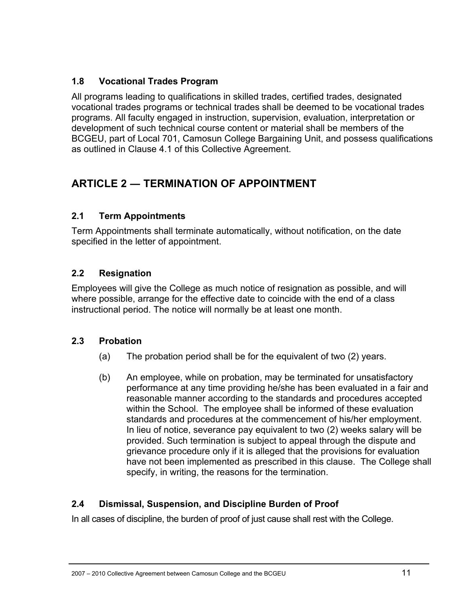### **1.8 Vocational Trades Program**

All programs leading to qualifications in skilled trades, certified trades, designated vocational trades programs or technical trades shall be deemed to be vocational trades programs. All faculty engaged in instruction, supervision, evaluation, interpretation or development of such technical course content or material shall be members of the BCGEU, part of Local 701, Camosun College Bargaining Unit, and possess qualifications as outlined in Clause 4.1 of this Collective Agreement.

# **ARTICLE 2 ― TERMINATION OF APPOINTMENT**

### **2.1 Term Appointments**

Term Appointments shall terminate automatically, without notification, on the date specified in the letter of appointment.

### **2.2 Resignation**

Employees will give the College as much notice of resignation as possible, and will where possible, arrange for the effective date to coincide with the end of a class instructional period. The notice will normally be at least one month.

### **2.3 Probation**

- (a) The probation period shall be for the equivalent of two (2) years.
- (b) An employee, while on probation, may be terminated for unsatisfactory performance at any time providing he/she has been evaluated in a fair and reasonable manner according to the standards and procedures accepted within the School. The employee shall be informed of these evaluation standards and procedures at the commencement of his/her employment. In lieu of notice, severance pay equivalent to two (2) weeks salary will be provided. Such termination is subject to appeal through the dispute and grievance procedure only if it is alleged that the provisions for evaluation have not been implemented as prescribed in this clause. The College shall specify, in writing, the reasons for the termination.

### **2.4 Dismissal, Suspension, and Discipline Burden of Proof**

In all cases of discipline, the burden of proof of just cause shall rest with the College.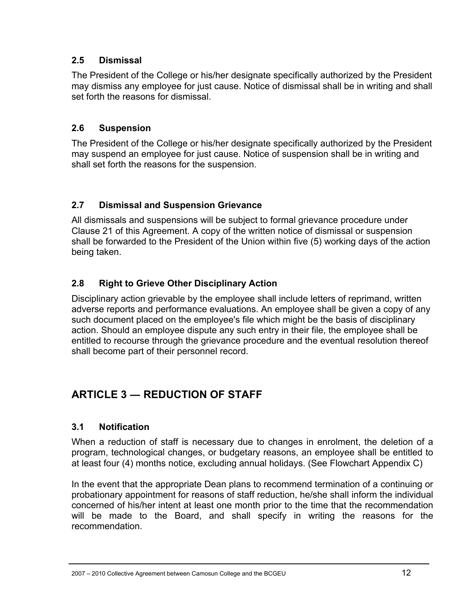### **2.5 Dismissal**

The President of the College or his/her designate specifically authorized by the President may dismiss any employee for just cause. Notice of dismissal shall be in writing and shall set forth the reasons for dismissal.

### **2.6 Suspension**

The President of the College or his/her designate specifically authorized by the President may suspend an employee for just cause. Notice of suspension shall be in writing and shall set forth the reasons for the suspension.

### **2.7 Dismissal and Suspension Grievance**

All dismissals and suspensions will be subject to formal grievance procedure under Clause 21 of this Agreement. A copy of the written notice of dismissal or suspension shall be forwarded to the President of the Union within five (5) working days of the action being taken.

### **2.8 Right to Grieve Other Disciplinary Action**

Disciplinary action grievable by the employee shall include letters of reprimand, written adverse reports and performance evaluations. An employee shall be given a copy of any such document placed on the employee's file which might be the basis of disciplinary action. Should an employee dispute any such entry in their file, the employee shall be entitled to recourse through the grievance procedure and the eventual resolution thereof shall become part of their personnel record.

# **ARTICLE 3 ― REDUCTION OF STAFF**

### **3.1 Notification**

When a reduction of staff is necessary due to changes in enrolment, the deletion of a program, technological changes, or budgetary reasons, an employee shall be entitled to at least four (4) months notice, excluding annual holidays. (See Flowchart Appendix C)

In the event that the appropriate Dean plans to recommend termination of a continuing or probationary appointment for reasons of staff reduction, he/she shall inform the individual concerned of his/her intent at least one month prior to the time that the recommendation will be made to the Board, and shall specify in writing the reasons for the recommendation.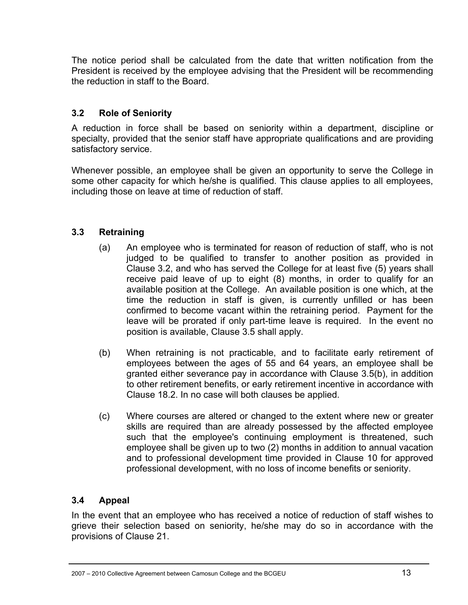The notice period shall be calculated from the date that written notification from the President is received by the employee advising that the President will be recommending the reduction in staff to the Board.

### **3.2 Role of Seniority**

A reduction in force shall be based on seniority within a department, discipline or specialty, provided that the senior staff have appropriate qualifications and are providing satisfactory service.

Whenever possible, an employee shall be given an opportunity to serve the College in some other capacity for which he/she is qualified. This clause applies to all employees, including those on leave at time of reduction of staff.

#### **3.3 Retraining**

- (a) An employee who is terminated for reason of reduction of staff, who is not judged to be qualified to transfer to another position as provided in Clause 3.2, and who has served the College for at least five (5) years shall receive paid leave of up to eight (8) months, in order to qualify for an available position at the College. An available position is one which, at the time the reduction in staff is given, is currently unfilled or has been confirmed to become vacant within the retraining period. Payment for the leave will be prorated if only part-time leave is required. In the event no position is available, Clause 3.5 shall apply.
- (b) When retraining is not practicable, and to facilitate early retirement of employees between the ages of 55 and 64 years, an employee shall be granted either severance pay in accordance with Clause 3.5(b), in addition to other retirement benefits, or early retirement incentive in accordance with Clause 18.2. In no case will both clauses be applied.
- (c) Where courses are altered or changed to the extent where new or greater skills are required than are already possessed by the affected employee such that the employee's continuing employment is threatened, such employee shall be given up to two (2) months in addition to annual vacation and to professional development time provided in Clause 10 for approved professional development, with no loss of income benefits or seniority.

### **3.4 Appeal**

In the event that an employee who has received a notice of reduction of staff wishes to grieve their selection based on seniority, he/she may do so in accordance with the provisions of Clause 21.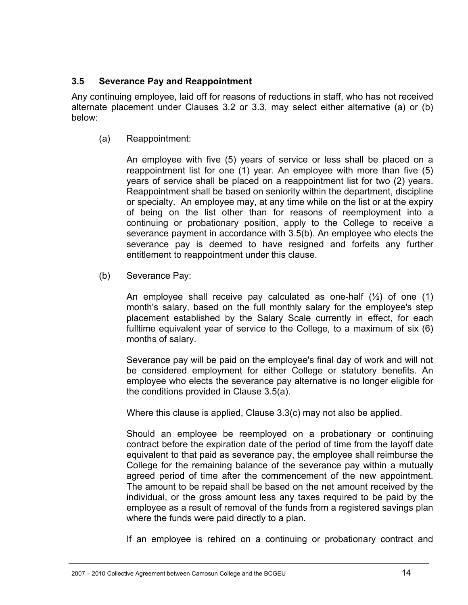### **3.5 Severance Pay and Reappointment**

Any continuing employee, laid off for reasons of reductions in staff, who has not received alternate placement under Clauses 3.2 or 3.3, may select either alternative (a) or (b) below:

(a) Reappointment:

An employee with five (5) years of service or less shall be placed on a reappointment list for one (1) year. An employee with more than five (5) years of service shall be placed on a reappointment list for two (2) years. Reappointment shall be based on seniority within the department, discipline or specialty. An employee may, at any time while on the list or at the expiry of being on the list other than for reasons of reemployment into a continuing or probationary position, apply to the College to receive a severance payment in accordance with 3.5(b). An employee who elects the severance pay is deemed to have resigned and forfeits any further entitlement to reappointment under this clause.

(b) Severance Pay:

An employee shall receive pay calculated as one-half (½) of one (1) month's salary, based on the full monthly salary for the employee's step placement established by the Salary Scale currently in effect, for each fulltime equivalent year of service to the College, to a maximum of six (6) months of salary.

Severance pay will be paid on the employee's final day of work and will not be considered employment for either College or statutory benefits. An employee who elects the severance pay alternative is no longer eligible for the conditions provided in Clause 3.5(a).

Where this clause is applied, Clause 3.3(c) may not also be applied.

Should an employee be reemployed on a probationary or continuing contract before the expiration date of the period of time from the layoff date equivalent to that paid as severance pay, the employee shall reimburse the College for the remaining balance of the severance pay within a mutually agreed period of time after the commencement of the new appointment. The amount to be repaid shall be based on the net amount received by the individual, or the gross amount less any taxes required to be paid by the employee as a result of removal of the funds from a registered savings plan where the funds were paid directly to a plan.

If an employee is rehired on a continuing or probationary contract and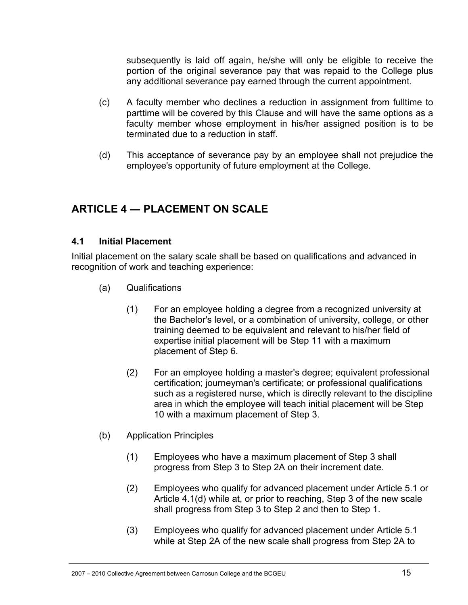subsequently is laid off again, he/she will only be eligible to receive the portion of the original severance pay that was repaid to the College plus any additional severance pay earned through the current appointment.

- (c) A faculty member who declines a reduction in assignment from fulltime to parttime will be covered by this Clause and will have the same options as a faculty member whose employment in his/her assigned position is to be terminated due to a reduction in staff.
- (d) This acceptance of severance pay by an employee shall not prejudice the employee's opportunity of future employment at the College.

# **ARTICLE 4 ― PLACEMENT ON SCALE**

### **4.1 Initial Placement**

Initial placement on the salary scale shall be based on qualifications and advanced in recognition of work and teaching experience:

- (a) Qualifications
	- (1) For an employee holding a degree from a recognized university at the Bachelor's level, or a combination of university, college, or other training deemed to be equivalent and relevant to his/her field of expertise initial placement will be Step 11 with a maximum placement of Step 6.
	- (2) For an employee holding a master's degree; equivalent professional certification; journeyman's certificate; or professional qualifications such as a registered nurse, which is directly relevant to the discipline area in which the employee will teach initial placement will be Step 10 with a maximum placement of Step 3.
- (b) Application Principles
	- (1) Employees who have a maximum placement of Step 3 shall progress from Step 3 to Step 2A on their increment date.
	- (2) Employees who qualify for advanced placement under Article 5.1 or Article 4.1(d) while at, or prior to reaching, Step 3 of the new scale shall progress from Step 3 to Step 2 and then to Step 1.
	- (3) Employees who qualify for advanced placement under Article 5.1 while at Step 2A of the new scale shall progress from Step 2A to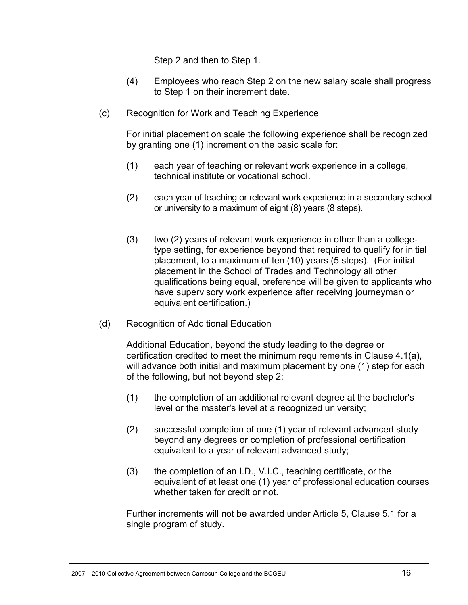Step 2 and then to Step 1.

- (4) Employees who reach Step 2 on the new salary scale shall progress to Step 1 on their increment date.
- (c) Recognition for Work and Teaching Experience

For initial placement on scale the following experience shall be recognized by granting one (1) increment on the basic scale for:

- (1) each year of teaching or relevant work experience in a college, technical institute or vocational school.
- (2) each year of teaching or relevant work experience in a secondary school or university to a maximum of eight (8) years (8 steps).
- (3) two (2) years of relevant work experience in other than a collegetype setting, for experience beyond that required to qualify for initial placement, to a maximum of ten (10) years (5 steps). (For initial placement in the School of Trades and Technology all other qualifications being equal, preference will be given to applicants who have supervisory work experience after receiving journeyman or equivalent certification.)
- (d) Recognition of Additional Education

Additional Education, beyond the study leading to the degree or certification credited to meet the minimum requirements in Clause 4.1(a), will advance both initial and maximum placement by one (1) step for each of the following, but not beyond step 2:

- (1) the completion of an additional relevant degree at the bachelor's level or the master's level at a recognized university;
- (2) successful completion of one (1) year of relevant advanced study beyond any degrees or completion of professional certification equivalent to a year of relevant advanced study;
- (3) the completion of an I.D., V.I.C., teaching certificate, or the equivalent of at least one (1) year of professional education courses whether taken for credit or not.

Further increments will not be awarded under Article 5, Clause 5.1 for a single program of study.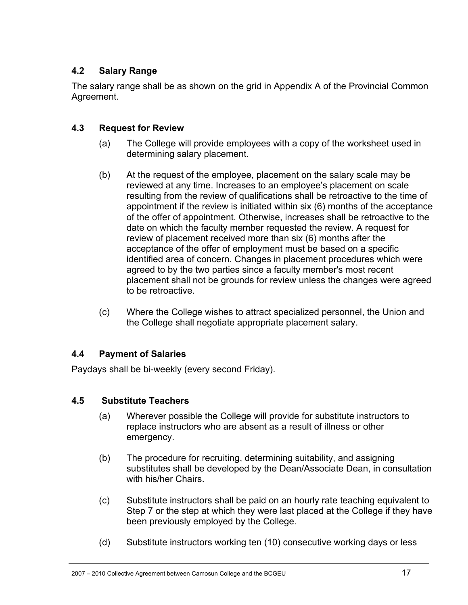### **4.2 Salary Range**

The salary range shall be as shown on the grid in Appendix A of the Provincial Common Agreement.

### **4.3 Request for Review**

- (a) The College will provide employees with a copy of the worksheet used in determining salary placement.
- (b) At the request of the employee, placement on the salary scale may be reviewed at any time. Increases to an employee's placement on scale resulting from the review of qualifications shall be retroactive to the time of appointment if the review is initiated within six (6) months of the acceptance of the offer of appointment. Otherwise, increases shall be retroactive to the date on which the faculty member requested the review. A request for review of placement received more than six (6) months after the acceptance of the offer of employment must be based on a specific identified area of concern. Changes in placement procedures which were agreed to by the two parties since a faculty member's most recent placement shall not be grounds for review unless the changes were agreed to be retroactive.
- (c) Where the College wishes to attract specialized personnel, the Union and the College shall negotiate appropriate placement salary.

### **4.4 Payment of Salaries**

Paydays shall be bi-weekly (every second Friday).

### **4.5 Substitute Teachers**

- (a) Wherever possible the College will provide for substitute instructors to replace instructors who are absent as a result of illness or other emergency.
- (b) The procedure for recruiting, determining suitability, and assigning substitutes shall be developed by the Dean/Associate Dean, in consultation with his/her Chairs.
- (c) Substitute instructors shall be paid on an hourly rate teaching equivalent to Step 7 or the step at which they were last placed at the College if they have been previously employed by the College.
- (d) Substitute instructors working ten (10) consecutive working days or less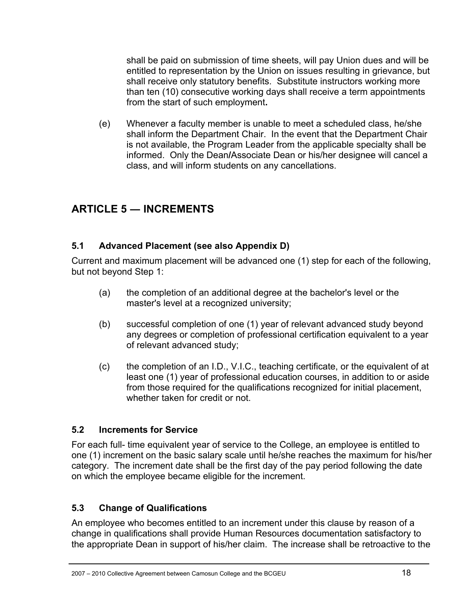shall be paid on submission of time sheets, will pay Union dues and will be entitled to representation by the Union on issues resulting in grievance, but shall receive only statutory benefits. Substitute instructors working more than ten (10) consecutive working days shall receive a term appointments from the start of such employment**.**

(e) Whenever a faculty member is unable to meet a scheduled class, he/she shall inform the Department Chair. In the event that the Department Chair is not available, the Program Leader from the applicable specialty shall be informed.Only the Dean**/**Associate Dean or his/her designee will cancel a class, and will inform students on any cancellations.

# **ARTICLE 5 ― INCREMENTS**

### **5.1 Advanced Placement (see also Appendix D)**

Current and maximum placement will be advanced one (1) step for each of the following, but not beyond Step 1:

- (a) the completion of an additional degree at the bachelor's level or the master's level at a recognized university;
- (b) successful completion of one (1) year of relevant advanced study beyond any degrees or completion of professional certification equivalent to a year of relevant advanced study;
- (c) the completion of an I.D., V.I.C., teaching certificate, or the equivalent of at least one (1) year of professional education courses, in addition to or aside from those required for the qualifications recognized for initial placement, whether taken for credit or not.

### **5.2 Increments for Service**

For each full- time equivalent year of service to the College, an employee is entitled to one (1) increment on the basic salary scale until he/she reaches the maximum for his/her category. The increment date shall be the first day of the pay period following the date on which the employee became eligible for the increment.

### **5.3 Change of Qualifications**

An employee who becomes entitled to an increment under this clause by reason of a change in qualifications shall provide Human Resources documentation satisfactory to the appropriate Dean in support of his/her claim. The increase shall be retroactive to the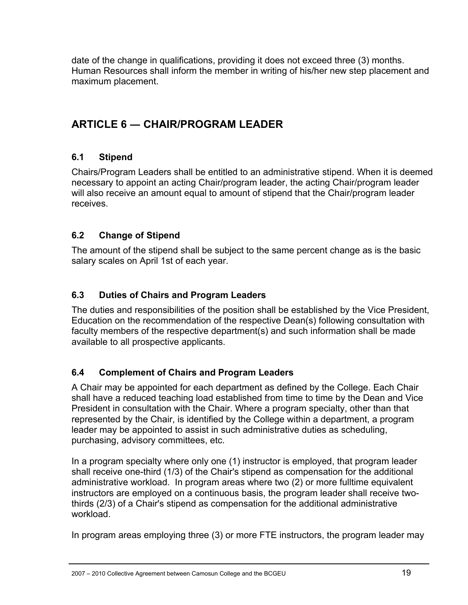date of the change in qualifications, providing it does not exceed three (3) months. Human Resources shall inform the member in writing of his/her new step placement and maximum placement.

# **ARTICLE 6 ― CHAIR/PROGRAM LEADER**

### **6.1 Stipend**

Chairs/Program Leaders shall be entitled to an administrative stipend. When it is deemed necessary to appoint an acting Chair/program leader, the acting Chair/program leader will also receive an amount equal to amount of stipend that the Chair/program leader receives.

### **6.2 Change of Stipend**

The amount of the stipend shall be subject to the same percent change as is the basic salary scales on April 1st of each year.

### **6.3 Duties of Chairs and Program Leaders**

The duties and responsibilities of the position shall be established by the Vice President, Education on the recommendation of the respective Dean(s) following consultation with faculty members of the respective department(s) and such information shall be made available to all prospective applicants.

### **6.4 Complement of Chairs and Program Leaders**

A Chair may be appointed for each department as defined by the College. Each Chair shall have a reduced teaching load established from time to time by the Dean and Vice President in consultation with the Chair. Where a program specialty, other than that represented by the Chair, is identified by the College within a department, a program leader may be appointed to assist in such administrative duties as scheduling, purchasing, advisory committees, etc.

In a program specialty where only one (1) instructor is employed, that program leader shall receive one-third (1/3) of the Chair's stipend as compensation for the additional administrative workload. In program areas where two (2) or more fulltime equivalent instructors are employed on a continuous basis, the program leader shall receive twothirds (2/3) of a Chair's stipend as compensation for the additional administrative workload.

In program areas employing three (3) or more FTE instructors, the program leader may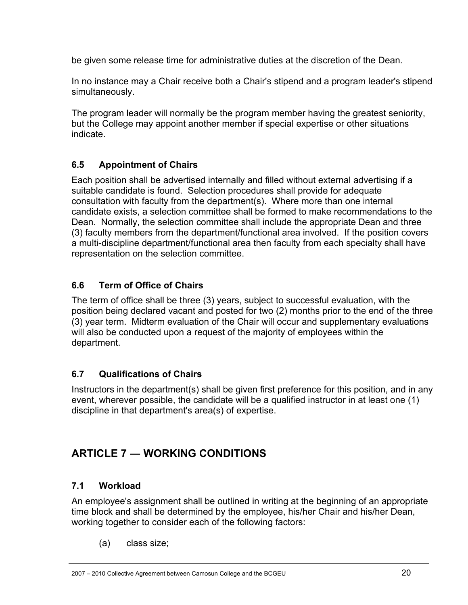be given some release time for administrative duties at the discretion of the Dean.

In no instance may a Chair receive both a Chair's stipend and a program leader's stipend simultaneously.

The program leader will normally be the program member having the greatest seniority, but the College may appoint another member if special expertise or other situations indicate.

### **6.5 Appointment of Chairs**

Each position shall be advertised internally and filled without external advertising if a suitable candidate is found. Selection procedures shall provide for adequate consultation with faculty from the department(s). Where more than one internal candidate exists, a selection committee shall be formed to make recommendations to the Dean. Normally, the selection committee shall include the appropriate Dean and three (3) faculty members from the department/functional area involved. If the position covers a multi-discipline department/functional area then faculty from each specialty shall have representation on the selection committee.

### **6.6 Term of Office of Chairs**

The term of office shall be three (3) years, subject to successful evaluation, with the position being declared vacant and posted for two (2) months prior to the end of the three (3) year term. Midterm evaluation of the Chair will occur and supplementary evaluations will also be conducted upon a request of the majority of employees within the department.

### **6.7 Qualifications of Chairs**

Instructors in the department(s) shall be given first preference for this position, and in any event, wherever possible, the candidate will be a qualified instructor in at least one (1) discipline in that department's area(s) of expertise.

# **ARTICLE 7 ― WORKING CONDITIONS**

### **7.1 Workload**

An employee's assignment shall be outlined in writing at the beginning of an appropriate time block and shall be determined by the employee, his/her Chair and his/her Dean, working together to consider each of the following factors:

(a) class size;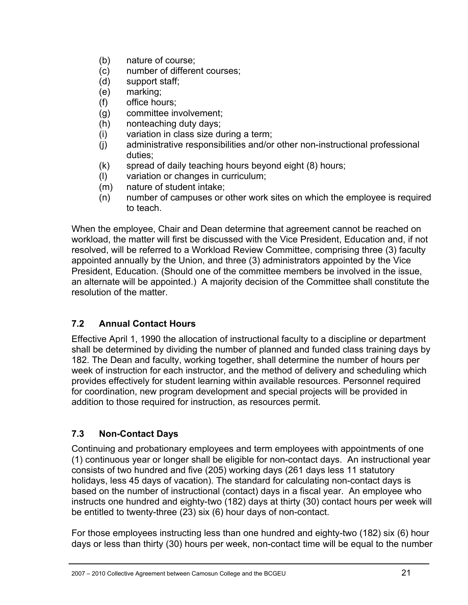- (b) nature of course;
- (c) number of different courses;
- (d) support staff;
- (e) marking;
- (f) office hours;
- (g) committee involvement;
- (h) nonteaching duty days;
- (i) variation in class size during a term;
- (j) administrative responsibilities and/or other non-instructional professional duties;
- (k) spread of daily teaching hours beyond eight (8) hours;
- (l) variation or changes in curriculum;
- (m) nature of student intake;
- (n) number of campuses or other work sites on which the employee is required to teach.

When the employee, Chair and Dean determine that agreement cannot be reached on workload, the matter will first be discussed with the Vice President, Education and, if not resolved, will be referred to a Workload Review Committee, comprising three (3) faculty appointed annually by the Union, and three (3) administrators appointed by the Vice President, Education. (Should one of the committee members be involved in the issue, an alternate will be appointed.) A majority decision of the Committee shall constitute the resolution of the matter.

### **7.2 Annual Contact Hours**

Effective April 1, 1990 the allocation of instructional faculty to a discipline or department shall be determined by dividing the number of planned and funded class training days by 182. The Dean and faculty, working together, shall determine the number of hours per week of instruction for each instructor, and the method of delivery and scheduling which provides effectively for student learning within available resources. Personnel required for coordination, new program development and special projects will be provided in addition to those required for instruction, as resources permit.

### **7.3 Non-Contact Days**

Continuing and probationary employees and term employees with appointments of one (1) continuous year or longer shall be eligible for non-contact days. An instructional year consists of two hundred and five (205) working days (261 days less 11 statutory holidays, less 45 days of vacation). The standard for calculating non-contact days is based on the number of instructional (contact) days in a fiscal year. An employee who instructs one hundred and eighty-two (182) days at thirty (30) contact hours per week will be entitled to twenty-three (23) six (6) hour days of non-contact.

For those employees instructing less than one hundred and eighty-two (182) six (6) hour days or less than thirty (30) hours per week, non-contact time will be equal to the number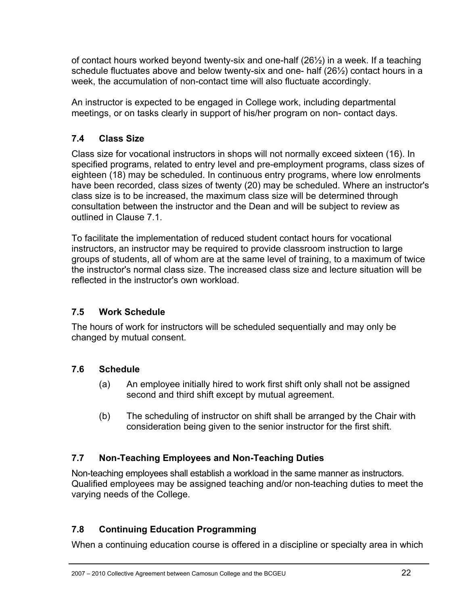of contact hours worked beyond twenty-six and one-half (26½) in a week. If a teaching schedule fluctuates above and below twenty-six and one- half  $(26\frac{1}{2})$  contact hours in a week, the accumulation of non-contact time will also fluctuate accordingly.

An instructor is expected to be engaged in College work, including departmental meetings, or on tasks clearly in support of his/her program on non- contact days.

### **7.4 Class Size**

Class size for vocational instructors in shops will not normally exceed sixteen (16). In specified programs, related to entry level and pre-employment programs, class sizes of eighteen (18) may be scheduled. In continuous entry programs, where low enrolments have been recorded, class sizes of twenty (20) may be scheduled. Where an instructor's class size is to be increased, the maximum class size will be determined through consultation between the instructor and the Dean and will be subject to review as outlined in Clause 7.1.

To facilitate the implementation of reduced student contact hours for vocational instructors, an instructor may be required to provide classroom instruction to large groups of students, all of whom are at the same level of training, to a maximum of twice the instructor's normal class size. The increased class size and lecture situation will be reflected in the instructor's own workload.

### **7.5 Work Schedule**

The hours of work for instructors will be scheduled sequentially and may only be changed by mutual consent.

### **7.6 Schedule**

- (a) An employee initially hired to work first shift only shall not be assigned second and third shift except by mutual agreement.
- (b) The scheduling of instructor on shift shall be arranged by the Chair with consideration being given to the senior instructor for the first shift.

### **7.7 Non-Teaching Employees and Non-Teaching Duties**

Non-teaching employees shall establish a workload in the same manner as instructors. Qualified employees may be assigned teaching and/or non-teaching duties to meet the varying needs of the College.

### **7.8 Continuing Education Programming**

When a continuing education course is offered in a discipline or specialty area in which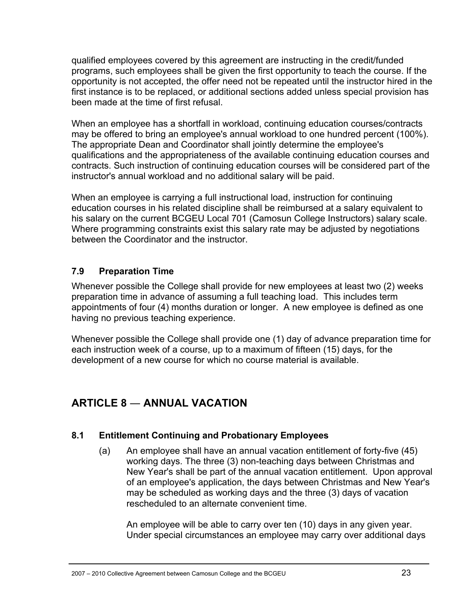qualified employees covered by this agreement are instructing in the credit/funded programs, such employees shall be given the first opportunity to teach the course. If the opportunity is not accepted, the offer need not be repeated until the instructor hired in the first instance is to be replaced, or additional sections added unless special provision has been made at the time of first refusal.

When an employee has a shortfall in workload, continuing education courses/contracts may be offered to bring an employee's annual workload to one hundred percent (100%). The appropriate Dean and Coordinator shall jointly determine the employee's qualifications and the appropriateness of the available continuing education courses and contracts. Such instruction of continuing education courses will be considered part of the instructor's annual workload and no additional salary will be paid.

When an employee is carrying a full instructional load, instruction for continuing education courses in his related discipline shall be reimbursed at a salary equivalent to his salary on the current BCGEU Local 701 (Camosun College Instructors) salary scale. Where programming constraints exist this salary rate may be adjusted by negotiations between the Coordinator and the instructor.

### **7.9 Preparation Time**

Whenever possible the College shall provide for new employees at least two (2) weeks preparation time in advance of assuming a full teaching load. This includes term appointments of four (4) months duration or longer. A new employee is defined as one having no previous teaching experience.

Whenever possible the College shall provide one (1) day of advance preparation time for each instruction week of a course, up to a maximum of fifteen (15) days, for the development of a new course for which no course material is available.

# **ARTICLE 8** ― **ANNUAL VACATION**

### **8.1 Entitlement Continuing and Probationary Employees**

(a) An employee shall have an annual vacation entitlement of forty-five (45) working days. The three (3) non-teaching days between Christmas and New Year's shall be part of the annual vacation entitlement. Upon approval of an employee's application, the days between Christmas and New Year's may be scheduled as working days and the three (3) days of vacation rescheduled to an alternate convenient time.

 An employee will be able to carry over ten (10) days in any given year. Under special circumstances an employee may carry over additional days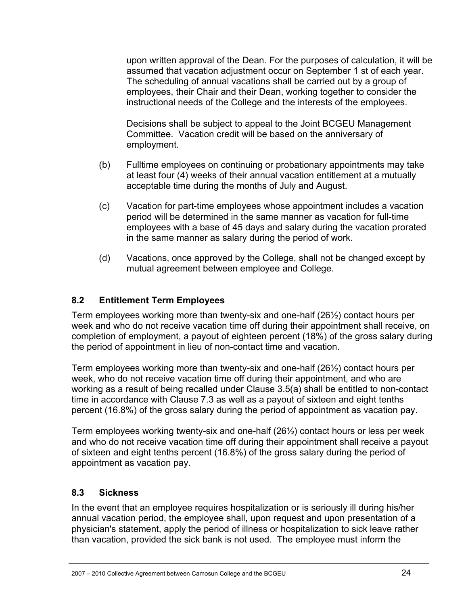upon written approval of the Dean. For the purposes of calculation, it will be assumed that vacation adjustment occur on September 1 st of each year. The scheduling of annual vacations shall be carried out by a group of employees, their Chair and their Dean, working together to consider the instructional needs of the College and the interests of the employees.

 Decisions shall be subject to appeal to the Joint BCGEU Management Committee. Vacation credit will be based on the anniversary of employment.

- (b) Fulltime employees on continuing or probationary appointments may take at least four (4) weeks of their annual vacation entitlement at a mutually acceptable time during the months of July and August.
- (c) Vacation for part-time employees whose appointment includes a vacation period will be determined in the same manner as vacation for full-time employees with a base of 45 days and salary during the vacation prorated in the same manner as salary during the period of work.
- (d) Vacations, once approved by the College, shall not be changed except by mutual agreement between employee and College.

### **8.2 Entitlement Term Employees**

Term employees working more than twenty-six and one-half (26½) contact hours per week and who do not receive vacation time off during their appointment shall receive, on completion of employment, a payout of eighteen percent (18%) of the gross salary during the period of appointment in lieu of non-contact time and vacation.

Term employees working more than twenty-six and one-half (26½) contact hours per week, who do not receive vacation time off during their appointment, and who are working as a result of being recalled under Clause 3.5(a) shall be entitled to non-contact time in accordance with Clause 7.3 as well as a payout of sixteen and eight tenths percent (16.8%) of the gross salary during the period of appointment as vacation pay.

Term employees working twenty-six and one-half (26½) contact hours or less per week and who do not receive vacation time off during their appointment shall receive a payout of sixteen and eight tenths percent (16.8%) of the gross salary during the period of appointment as vacation pay.

### **8.3 Sickness**

In the event that an employee requires hospitalization or is seriously ill during his/her annual vacation period, the employee shall, upon request and upon presentation of a physician's statement, apply the period of illness or hospitalization to sick leave rather than vacation, provided the sick bank is not used. The employee must inform the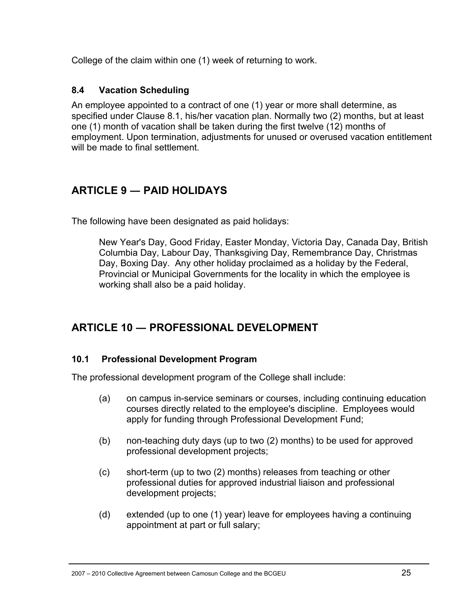College of the claim within one (1) week of returning to work.

### **8.4 Vacation Scheduling**

An employee appointed to a contract of one (1) year or more shall determine, as specified under Clause 8.1, his/her vacation plan. Normally two (2) months, but at least one (1) month of vacation shall be taken during the first twelve (12) months of employment. Upon termination, adjustments for unused or overused vacation entitlement will be made to final settlement.

# **ARTICLE 9 ― PAID HOLIDAYS**

The following have been designated as paid holidays:

New Year's Day, Good Friday, Easter Monday, Victoria Day, Canada Day, British Columbia Day, Labour Day, Thanksgiving Day, Remembrance Day, Christmas Day, Boxing Day. Any other holiday proclaimed as a holiday by the Federal, Provincial or Municipal Governments for the locality in which the employee is working shall also be a paid holiday.

# **ARTICLE 10 ― PROFESSIONAL DEVELOPMENT**

### **10.1 Professional Development Program**

The professional development program of the College shall include:

- (a) on campus in-service seminars or courses, including continuing education courses directly related to the employee's discipline. Employees would apply for funding through Professional Development Fund;
- (b) non-teaching duty days (up to two (2) months) to be used for approved professional development projects;
- (c) short-term (up to two (2) months) releases from teaching or other professional duties for approved industrial liaison and professional development projects;
- (d) extended (up to one (1) year) leave for employees having a continuing appointment at part or full salary;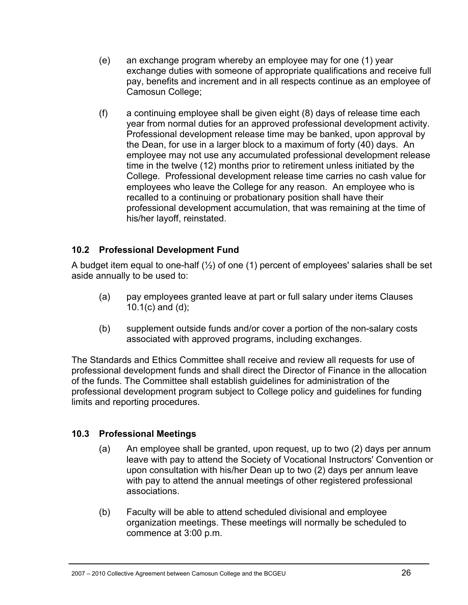- (e) an exchange program whereby an employee may for one (1) year exchange duties with someone of appropriate qualifications and receive full pay, benefits and increment and in all respects continue as an employee of Camosun College;
- (f) a continuing employee shall be given eight (8) days of release time each year from normal duties for an approved professional development activity. Professional development release time may be banked, upon approval by the Dean, for use in a larger block to a maximum of forty (40) days. An employee may not use any accumulated professional development release time in the twelve (12) months prior to retirement unless initiated by the College. Professional development release time carries no cash value for employees who leave the College for any reason. An employee who is recalled to a continuing or probationary position shall have their professional development accumulation, that was remaining at the time of his/her layoff, reinstated.

### **10.2 Professional Development Fund**

A budget item equal to one-half  $(\frac{1}{2})$  of one (1) percent of employees' salaries shall be set aside annually to be used to:

- (a) pay employees granted leave at part or full salary under items Clauses 10.1(c) and (d);
- (b) supplement outside funds and/or cover a portion of the non-salary costs associated with approved programs, including exchanges.

The Standards and Ethics Committee shall receive and review all requests for use of professional development funds and shall direct the Director of Finance in the allocation of the funds. The Committee shall establish guidelines for administration of the professional development program subject to College policy and guidelines for funding limits and reporting procedures.

### **10.3 Professional Meetings**

- (a) An employee shall be granted, upon request, up to two (2) days per annum leave with pay to attend the Society of Vocational Instructors' Convention or upon consultation with his/her Dean up to two (2) days per annum leave with pay to attend the annual meetings of other registered professional associations.
- (b) Faculty will be able to attend scheduled divisional and employee organization meetings. These meetings will normally be scheduled to commence at 3:00 p.m.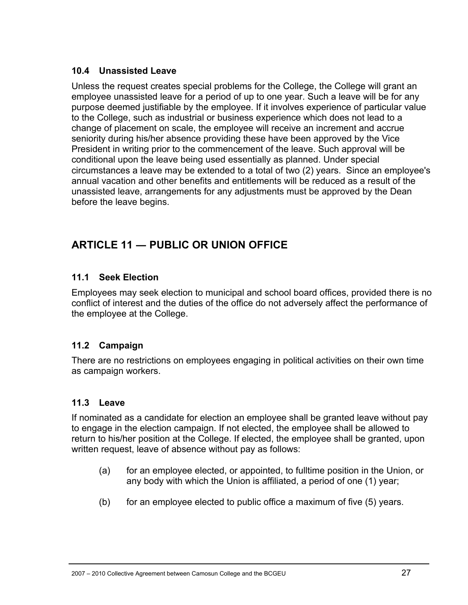### **10.4 Unassisted Leave**

Unless the request creates special problems for the College, the College will grant an employee unassisted leave for a period of up to one year. Such a leave will be for any purpose deemed justifiable by the employee. If it involves experience of particular value to the College, such as industrial or business experience which does not lead to a change of placement on scale, the employee will receive an increment and accrue seniority during his/her absence providing these have been approved by the Vice President in writing prior to the commencement of the leave. Such approval will be conditional upon the leave being used essentially as planned. Under special circumstances a leave may be extended to a total of two (2) years. Since an employee's annual vacation and other benefits and entitlements will be reduced as a result of the unassisted leave, arrangements for any adjustments must be approved by the Dean before the leave begins.

# **ARTICLE 11 ― PUBLIC OR UNION OFFICE**

### **11.1 Seek Election**

Employees may seek election to municipal and school board offices, provided there is no conflict of interest and the duties of the office do not adversely affect the performance of the employee at the College.

### **11.2 Campaign**

There are no restrictions on employees engaging in political activities on their own time as campaign workers.

### **11.3 Leave**

If nominated as a candidate for election an employee shall be granted leave without pay to engage in the election campaign. If not elected, the employee shall be allowed to return to his/her position at the College. If elected, the employee shall be granted, upon written request, leave of absence without pay as follows:

- (a) for an employee elected, or appointed, to fulltime position in the Union, or any body with which the Union is affiliated, a period of one (1) year;
- (b) for an employee elected to public office a maximum of five  $(5)$  years.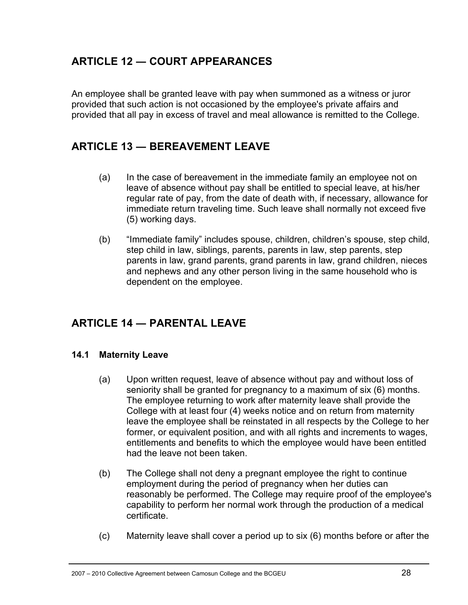### **ARTICLE 12 ― COURT APPEARANCES**

An employee shall be granted leave with pay when summoned as a witness or juror provided that such action is not occasioned by the employee's private affairs and provided that all pay in excess of travel and meal allowance is remitted to the College.

### **ARTICLE 13 ― BEREAVEMENT LEAVE**

- (a) In the case of bereavement in the immediate family an employee not on leave of absence without pay shall be entitled to special leave, at his/her regular rate of pay, from the date of death with, if necessary, allowance for immediate return traveling time. Such leave shall normally not exceed five (5) working days.
- (b) "Immediate family" includes spouse, children, children's spouse, step child, step child in law, siblings, parents, parents in law, step parents, step parents in law, grand parents, grand parents in law, grand children, nieces and nephews and any other person living in the same household who is dependent on the employee.

# **ARTICLE 14 ― PARENTAL LEAVE**

### **14.1 Maternity Leave**

- (a) Upon written request, leave of absence without pay and without loss of seniority shall be granted for pregnancy to a maximum of six (6) months. The employee returning to work after maternity leave shall provide the College with at least four (4) weeks notice and on return from maternity leave the employee shall be reinstated in all respects by the College to her former, or equivalent position, and with all rights and increments to wages, entitlements and benefits to which the employee would have been entitled had the leave not been taken.
- (b) The College shall not deny a pregnant employee the right to continue employment during the period of pregnancy when her duties can reasonably be performed. The College may require proof of the employee's capability to perform her normal work through the production of a medical certificate.
- (c) Maternity leave shall cover a period up to six (6) months before or after the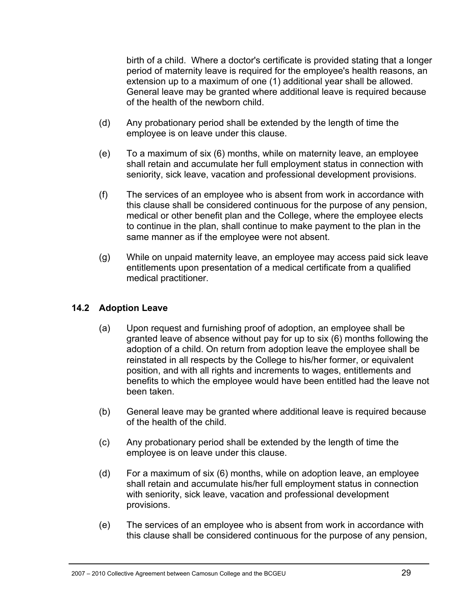birth of a child. Where a doctor's certificate is provided stating that a longer period of maternity leave is required for the employee's health reasons, an extension up to a maximum of one (1) additional year shall be allowed. General leave may be granted where additional leave is required because of the health of the newborn child.

- (d) Any probationary period shall be extended by the length of time the employee is on leave under this clause.
- (e) To a maximum of six (6) months, while on maternity leave, an employee shall retain and accumulate her full employment status in connection with seniority, sick leave, vacation and professional development provisions.
- (f) The services of an employee who is absent from work in accordance with this clause shall be considered continuous for the purpose of any pension, medical or other benefit plan and the College, where the employee elects to continue in the plan, shall continue to make payment to the plan in the same manner as if the employee were not absent.
- (g) While on unpaid maternity leave, an employee may access paid sick leave entitlements upon presentation of a medical certificate from a qualified medical practitioner.

### **14.2 Adoption Leave**

- (a) Upon request and furnishing proof of adoption, an employee shall be granted leave of absence without pay for up to six (6) months following the adoption of a child. On return from adoption leave the employee shall be reinstated in all respects by the College to his/her former, or equivalent position, and with all rights and increments to wages, entitlements and benefits to which the employee would have been entitled had the leave not been taken.
- (b) General leave may be granted where additional leave is required because of the health of the child.
- (c) Any probationary period shall be extended by the length of time the employee is on leave under this clause.
- (d) For a maximum of six (6) months, while on adoption leave, an employee shall retain and accumulate his/her full employment status in connection with seniority, sick leave, vacation and professional development provisions.
- (e) The services of an employee who is absent from work in accordance with this clause shall be considered continuous for the purpose of any pension,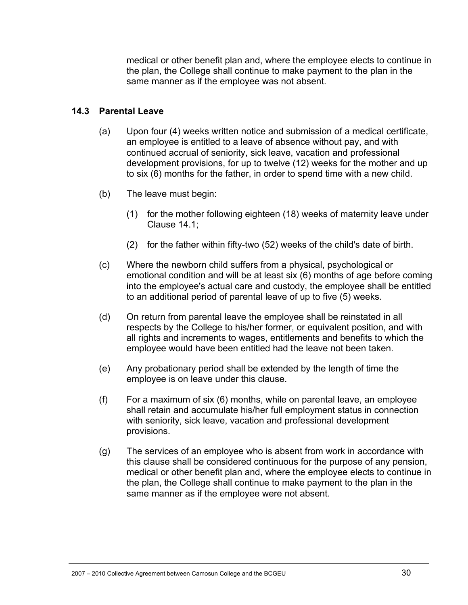medical or other benefit plan and, where the employee elects to continue in the plan, the College shall continue to make payment to the plan in the same manner as if the employee was not absent.

#### **14.3 Parental Leave**

- (a) Upon four (4) weeks written notice and submission of a medical certificate, an employee is entitled to a leave of absence without pay, and with continued accrual of seniority, sick leave, vacation and professional development provisions, for up to twelve (12) weeks for the mother and up to six (6) months for the father, in order to spend time with a new child.
- (b) The leave must begin:
	- (1) for the mother following eighteen (18) weeks of maternity leave under Clause 14.1;
	- (2) for the father within fifty-two (52) weeks of the child's date of birth.
- (c) Where the newborn child suffers from a physical, psychological or emotional condition and will be at least six (6) months of age before coming into the employee's actual care and custody, the employee shall be entitled to an additional period of parental leave of up to five (5) weeks.
- (d) On return from parental leave the employee shall be reinstated in all respects by the College to his/her former, or equivalent position, and with all rights and increments to wages, entitlements and benefits to which the employee would have been entitled had the leave not been taken.
- (e) Any probationary period shall be extended by the length of time the employee is on leave under this clause.
- (f) For a maximum of six (6) months, while on parental leave, an employee shall retain and accumulate his/her full employment status in connection with seniority, sick leave, vacation and professional development provisions.
- (g) The services of an employee who is absent from work in accordance with this clause shall be considered continuous for the purpose of any pension, medical or other benefit plan and, where the employee elects to continue in the plan, the College shall continue to make payment to the plan in the same manner as if the employee were not absent.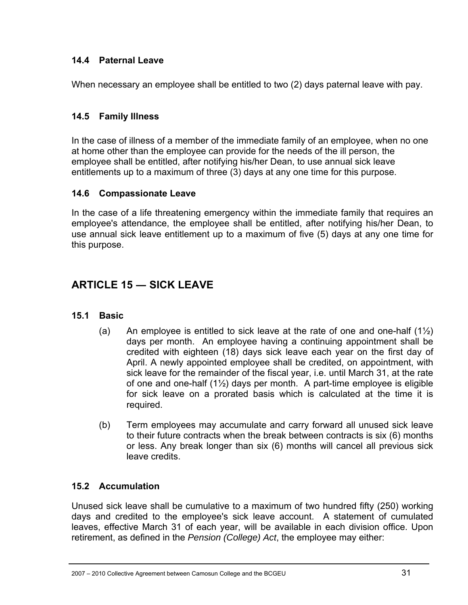### **14.4 Paternal Leave**

When necessary an employee shall be entitled to two (2) days paternal leave with pay.

### **14.5 Family Illness**

In the case of illness of a member of the immediate family of an employee, when no one at home other than the employee can provide for the needs of the ill person, the employee shall be entitled, after notifying his/her Dean, to use annual sick leave entitlements up to a maximum of three (3) days at any one time for this purpose.

### **14.6 Compassionate Leave**

In the case of a life threatening emergency within the immediate family that requires an employee's attendance, the employee shall be entitled, after notifying his/her Dean, to use annual sick leave entitlement up to a maximum of five (5) days at any one time for this purpose.

# **ARTICLE 15 ― SICK LEAVE**

### **15.1 Basic**

- (a) An employee is entitled to sick leave at the rate of one and one-half  $(1\frac{1}{2})$ days per month. An employee having a continuing appointment shall be credited with eighteen (18) days sick leave each year on the first day of April. A newly appointed employee shall be credited, on appointment, with sick leave for the remainder of the fiscal year, i.e. until March 31, at the rate of one and one-half (1½) days per month. A part-time employee is eligible for sick leave on a prorated basis which is calculated at the time it is required.
- (b) Term employees may accumulate and carry forward all unused sick leave to their future contracts when the break between contracts is six (6) months or less. Any break longer than six (6) months will cancel all previous sick leave credits.

### **15.2 Accumulation**

Unused sick leave shall be cumulative to a maximum of two hundred fifty (250) working days and credited to the employee's sick leave account. A statement of cumulated leaves, effective March 31 of each year, will be available in each division office. Upon retirement, as defined in the *Pension (College) Act*, the employee may either: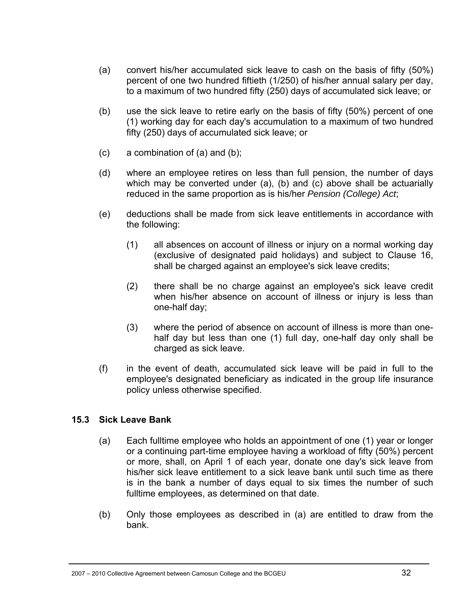- (a) convert his/her accumulated sick leave to cash on the basis of fifty (50%) percent of one two hundred fiftieth (1/250) of his/her annual salary per day, to a maximum of two hundred fifty (250) days of accumulated sick leave; or
- (b) use the sick leave to retire early on the basis of fifty (50%) percent of one (1) working day for each day's accumulation to a maximum of two hundred fifty (250) days of accumulated sick leave; or
- $(c)$  a combination of  $(a)$  and  $(b)$ ;
- (d) where an employee retires on less than full pension, the number of days which may be converted under (a), (b) and (c) above shall be actuarially reduced in the same proportion as is his/her *Pension (College) Act*;
- (e) deductions shall be made from sick leave entitlements in accordance with the following:
	- (1) all absences on account of illness or injury on a normal working day (exclusive of designated paid holidays) and subject to Clause 16, shall be charged against an employee's sick leave credits;
	- (2) there shall be no charge against an employee's sick leave credit when his/her absence on account of illness or injury is less than one-half day;
	- (3) where the period of absence on account of illness is more than onehalf day but less than one (1) full day, one-half day only shall be charged as sick leave.
- (f) in the event of death, accumulated sick leave will be paid in full to the employee's designated beneficiary as indicated in the group life insurance policy unless otherwise specified.

### **15.3 Sick Leave Bank**

- (a) Each fulltime employee who holds an appointment of one (1) year or longer or a continuing part-time employee having a workload of fifty (50%) percent or more, shall, on April 1 of each year, donate one day's sick leave from his/her sick leave entitlement to a sick leave bank until such time as there is in the bank a number of days equal to six times the number of such fulltime employees, as determined on that date.
- (b) Only those employees as described in (a) are entitled to draw from the bank.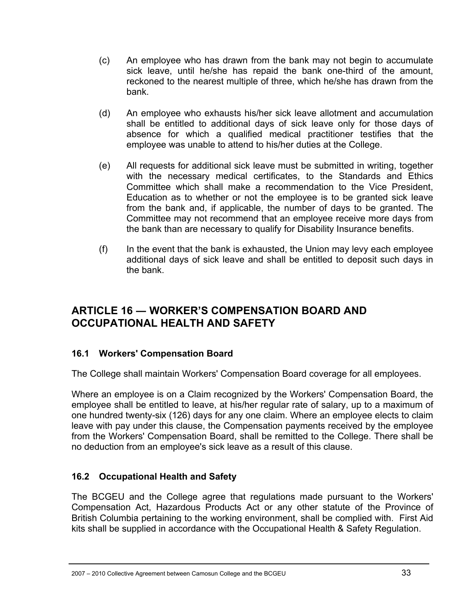- (c) An employee who has drawn from the bank may not begin to accumulate sick leave, until he/she has repaid the bank one-third of the amount, reckoned to the nearest multiple of three, which he/she has drawn from the bank.
- (d) An employee who exhausts his/her sick leave allotment and accumulation shall be entitled to additional days of sick leave only for those days of absence for which a qualified medical practitioner testifies that the employee was unable to attend to his/her duties at the College.
- (e) All requests for additional sick leave must be submitted in writing, together with the necessary medical certificates, to the Standards and Ethics Committee which shall make a recommendation to the Vice President, Education as to whether or not the employee is to be granted sick leave from the bank and, if applicable, the number of days to be granted. The Committee may not recommend that an employee receive more days from the bank than are necessary to qualify for Disability Insurance benefits.
- $(f)$  In the event that the bank is exhausted, the Union may levy each employee additional days of sick leave and shall be entitled to deposit such days in the bank.

### **ARTICLE 16 ― WORKER'S COMPENSATION BOARD AND OCCUPATIONAL HEALTH AND SAFETY**

### **16.1 Workers' Compensation Board**

The College shall maintain Workers' Compensation Board coverage for all employees.

Where an employee is on a Claim recognized by the Workers' Compensation Board, the employee shall be entitled to leave, at his/her regular rate of salary, up to a maximum of one hundred twenty-six (126) days for any one claim. Where an employee elects to claim leave with pay under this clause, the Compensation payments received by the employee from the Workers' Compensation Board, shall be remitted to the College. There shall be no deduction from an employee's sick leave as a result of this clause.

### **16.2 Occupational Health and Safety**

The BCGEU and the College agree that regulations made pursuant to the Workers' Compensation Act, Hazardous Products Act or any other statute of the Province of British Columbia pertaining to the working environment, shall be complied with. First Aid kits shall be supplied in accordance with the Occupational Health & Safety Regulation.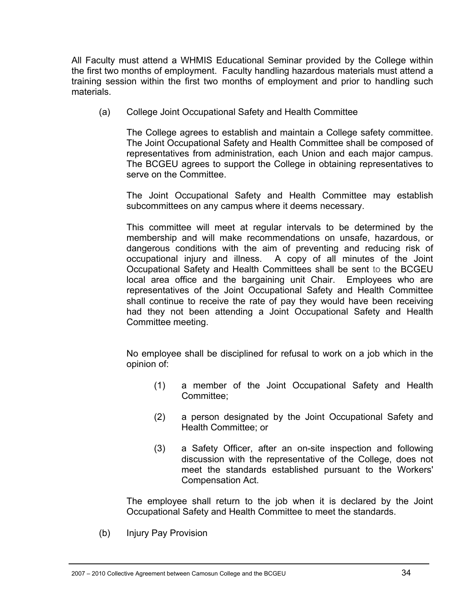All Faculty must attend a WHMIS Educational Seminar provided by the College within the first two months of employment. Faculty handling hazardous materials must attend a training session within the first two months of employment and prior to handling such materials.

(a) College Joint Occupational Safety and Health Committee

The College agrees to establish and maintain a College safety committee. The Joint Occupational Safety and Health Committee shall be composed of representatives from administration, each Union and each major campus. The BCGEU agrees to support the College in obtaining representatives to serve on the Committee.

The Joint Occupational Safety and Health Committee may establish subcommittees on any campus where it deems necessary.

This committee will meet at regular intervals to be determined by the membership and will make recommendations on unsafe, hazardous, or dangerous conditions with the aim of preventing and reducing risk of occupational injury and illness. A copy of all minutes of the Joint Occupational Safety and Health Committees shall be sent to the BCGEU local area office and the bargaining unit Chair. Employees who are representatives of the Joint Occupational Safety and Health Committee shall continue to receive the rate of pay they would have been receiving had they not been attending a Joint Occupational Safety and Health Committee meeting.

No employee shall be disciplined for refusal to work on a job which in the opinion of:

- (1) a member of the Joint Occupational Safety and Health Committee;
- (2) a person designated by the Joint Occupational Safety and Health Committee; or
- (3) a Safety Officer, after an on-site inspection and following discussion with the representative of the College, does not meet the standards established pursuant to the Workers' Compensation Act.

The employee shall return to the job when it is declared by the Joint Occupational Safety and Health Committee to meet the standards.

(b) Injury Pay Provision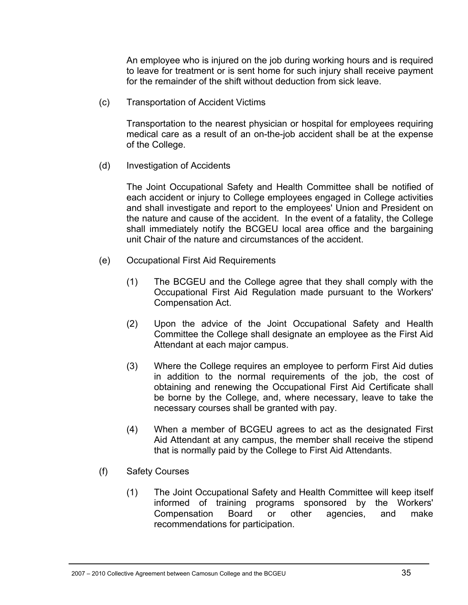An employee who is injured on the job during working hours and is required to leave for treatment or is sent home for such injury shall receive payment for the remainder of the shift without deduction from sick leave.

(c) Transportation of Accident Victims

Transportation to the nearest physician or hospital for employees requiring medical care as a result of an on-the-job accident shall be at the expense of the College.

(d) Investigation of Accidents

The Joint Occupational Safety and Health Committee shall be notified of each accident or injury to College employees engaged in College activities and shall investigate and report to the employees' Union and President on the nature and cause of the accident. In the event of a fatality, the College shall immediately notify the BCGEU local area office and the bargaining unit Chair of the nature and circumstances of the accident.

- (e) Occupational First Aid Requirements
	- (1) The BCGEU and the College agree that they shall comply with the Occupational First Aid Regulation made pursuant to the Workers' Compensation Act.
	- (2) Upon the advice of the Joint Occupational Safety and Health Committee the College shall designate an employee as the First Aid Attendant at each major campus.
	- (3) Where the College requires an employee to perform First Aid duties in addition to the normal requirements of the job, the cost of obtaining and renewing the Occupational First Aid Certificate shall be borne by the College, and, where necessary, leave to take the necessary courses shall be granted with pay.
	- (4) When a member of BCGEU agrees to act as the designated First Aid Attendant at any campus, the member shall receive the stipend that is normally paid by the College to First Aid Attendants.
- (f) Safety Courses
	- (1) The Joint Occupational Safety and Health Committee will keep itself informed of training programs sponsored by the Workers' Compensation Board or other agencies, and make recommendations for participation.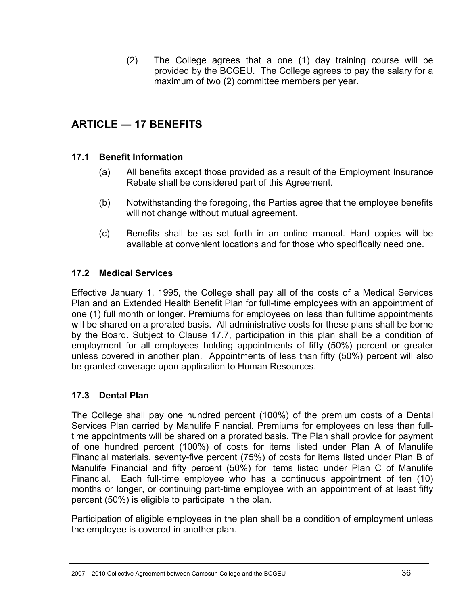(2) The College agrees that a one (1) day training course will be provided by the BCGEU. The College agrees to pay the salary for a maximum of two (2) committee members per year.

# **ARTICLE ― 17 BENEFITS**

### **17.1 Benefit Information**

- (a) All benefits except those provided as a result of the Employment Insurance Rebate shall be considered part of this Agreement.
- (b) Notwithstanding the foregoing, the Parties agree that the employee benefits will not change without mutual agreement.
- (c) Benefits shall be as set forth in an online manual. Hard copies will be available at convenient locations and for those who specifically need one.

#### **17.2 Medical Services**

Effective January 1, 1995, the College shall pay all of the costs of a Medical Services Plan and an Extended Health Benefit Plan for full-time employees with an appointment of one (1) full month or longer. Premiums for employees on less than fulltime appointments will be shared on a prorated basis. All administrative costs for these plans shall be borne by the Board. Subject to Clause 17.7, participation in this plan shall be a condition of employment for all employees holding appointments of fifty (50%) percent or greater unless covered in another plan. Appointments of less than fifty (50%) percent will also be granted coverage upon application to Human Resources.

#### **17.3 Dental Plan**

The College shall pay one hundred percent (100%) of the premium costs of a Dental Services Plan carried by Manulife Financial. Premiums for employees on less than fulltime appointments will be shared on a prorated basis. The Plan shall provide for payment of one hundred percent (100%) of costs for items listed under Plan A of Manulife Financial materials, seventy-five percent (75%) of costs for items listed under Plan B of Manulife Financial and fifty percent (50%) for items listed under Plan C of Manulife Financial. Each full-time employee who has a continuous appointment of ten (10) months or longer, or continuing part-time employee with an appointment of at least fifty percent (50%) is eligible to participate in the plan.

Participation of eligible employees in the plan shall be a condition of employment unless the employee is covered in another plan.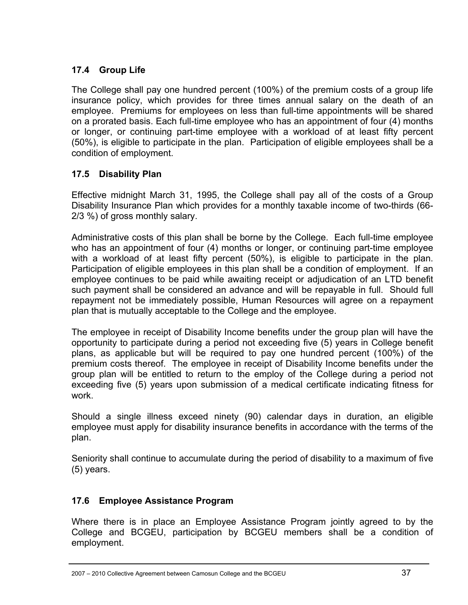### **17.4 Group Life**

The College shall pay one hundred percent (100%) of the premium costs of a group life insurance policy, which provides for three times annual salary on the death of an employee. Premiums for employees on less than full-time appointments will be shared on a prorated basis. Each full-time employee who has an appointment of four (4) months or longer, or continuing part-time employee with a workload of at least fifty percent (50%), is eligible to participate in the plan. Participation of eligible employees shall be a condition of employment.

### **17.5 Disability Plan**

Effective midnight March 31, 1995, the College shall pay all of the costs of a Group Disability Insurance Plan which provides for a monthly taxable income of two-thirds (66- 2/3 %) of gross monthly salary.

Administrative costs of this plan shall be borne by the College. Each full-time employee who has an appointment of four (4) months or longer, or continuing part-time employee with a workload of at least fifty percent (50%), is eligible to participate in the plan. Participation of eligible employees in this plan shall be a condition of employment. If an employee continues to be paid while awaiting receipt or adjudication of an LTD benefit such payment shall be considered an advance and will be repayable in full. Should full repayment not be immediately possible, Human Resources will agree on a repayment plan that is mutually acceptable to the College and the employee.

The employee in receipt of Disability Income benefits under the group plan will have the opportunity to participate during a period not exceeding five (5) years in College benefit plans, as applicable but will be required to pay one hundred percent (100%) of the premium costs thereof. The employee in receipt of Disability Income benefits under the group plan will be entitled to return to the employ of the College during a period not exceeding five (5) years upon submission of a medical certificate indicating fitness for work.

Should a single illness exceed ninety (90) calendar days in duration, an eligible employee must apply for disability insurance benefits in accordance with the terms of the plan.

Seniority shall continue to accumulate during the period of disability to a maximum of five (5) years.

### **17.6 Employee Assistance Program**

Where there is in place an Employee Assistance Program jointly agreed to by the College and BCGEU, participation by BCGEU members shall be a condition of employment.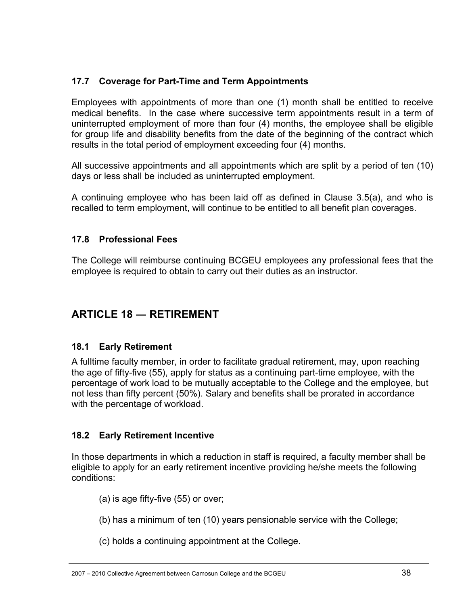### **17.7 Coverage for Part-Time and Term Appointments**

Employees with appointments of more than one (1) month shall be entitled to receive medical benefits. In the case where successive term appointments result in a term of uninterrupted employment of more than four (4) months, the employee shall be eligible for group life and disability benefits from the date of the beginning of the contract which results in the total period of employment exceeding four (4) months.

All successive appointments and all appointments which are split by a period of ten (10) days or less shall be included as uninterrupted employment.

A continuing employee who has been laid off as defined in Clause 3.5(a), and who is recalled to term employment, will continue to be entitled to all benefit plan coverages.

### **17.8 Professional Fees**

The College will reimburse continuing BCGEU employees any professional fees that the employee is required to obtain to carry out their duties as an instructor.

### **ARTICLE 18 ― RETIREMENT**

### **18.1 Early Retirement**

A fulltime faculty member, in order to facilitate gradual retirement, may, upon reaching the age of fifty-five (55), apply for status as a continuing part-time employee, with the percentage of work load to be mutually acceptable to the College and the employee, but not less than fifty percent (50%). Salary and benefits shall be prorated in accordance with the percentage of workload.

### **18.2 Early Retirement Incentive**

In those departments in which a reduction in staff is required, a faculty member shall be eligible to apply for an early retirement incentive providing he/she meets the following conditions:

- (a) is age fifty-five (55) or over;
- (b) has a minimum of ten (10) years pensionable service with the College;
- (c) holds a continuing appointment at the College.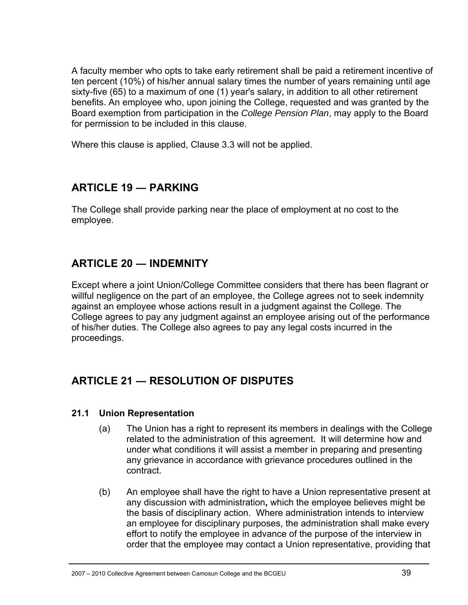A faculty member who opts to take early retirement shall be paid a retirement incentive of ten percent (10%) of his/her annual salary times the number of years remaining until age sixty-five (65) to a maximum of one (1) year's salary, in addition to all other retirement benefits. An employee who, upon joining the College, requested and was granted by the Board exemption from participation in the *College Pension Plan*, may apply to the Board for permission to be included in this clause.

Where this clause is applied, Clause 3.3 will not be applied.

### **ARTICLE 19 ― PARKING**

The College shall provide parking near the place of employment at no cost to the employee.

### **ARTICLE 20 ― INDEMNITY**

Except where a joint Union/College Committee considers that there has been flagrant or willful negligence on the part of an employee, the College agrees not to seek indemnity against an employee whose actions result in a judgment against the College. The College agrees to pay any judgment against an employee arising out of the performance of his/her duties. The College also agrees to pay any legal costs incurred in the proceedings.

### **ARTICLE 21 ― RESOLUTION OF DISPUTES**

#### **21.1 Union Representation**

- (a) The Union has a right to represent its members in dealings with the College related to the administration of this agreement. It will determine how and under what conditions it will assist a member in preparing and presenting any grievance in accordance with grievance procedures outlined in the contract.
- (b) An employee shall have the right to have a Union representative present at any discussion with administration**,** which the employee believes might be the basis of disciplinary action. Where administration intends to interview an employee for disciplinary purposes, the administration shall make every effort to notify the employee in advance of the purpose of the interview in order that the employee may contact a Union representative, providing that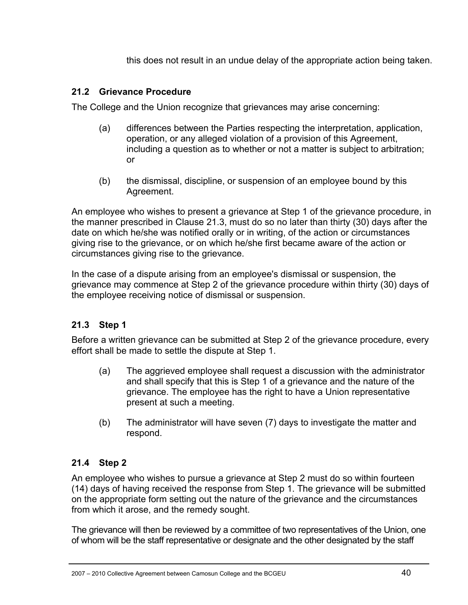this does not result in an undue delay of the appropriate action being taken.

### **21.2 Grievance Procedure**

The College and the Union recognize that grievances may arise concerning:

- (a) differences between the Parties respecting the interpretation, application, operation, or any alleged violation of a provision of this Agreement, including a question as to whether or not a matter is subject to arbitration; or
- (b) the dismissal, discipline, or suspension of an employee bound by this Agreement.

An employee who wishes to present a grievance at Step 1 of the grievance procedure, in the manner prescribed in Clause 21.3, must do so no later than thirty (30) days after the date on which he/she was notified orally or in writing, of the action or circumstances giving rise to the grievance, or on which he/she first became aware of the action or circumstances giving rise to the grievance.

In the case of a dispute arising from an employee's dismissal or suspension, the grievance may commence at Step 2 of the grievance procedure within thirty (30) days of the employee receiving notice of dismissal or suspension.

### **21.3 Step 1**

Before a written grievance can be submitted at Step 2 of the grievance procedure, every effort shall be made to settle the dispute at Step 1.

- (a) The aggrieved employee shall request a discussion with the administrator and shall specify that this is Step 1 of a grievance and the nature of the grievance. The employee has the right to have a Union representative present at such a meeting.
- (b) The administrator will have seven (7) days to investigate the matter and respond.

### **21.4 Step 2**

An employee who wishes to pursue a grievance at Step 2 must do so within fourteen (14) days of having received the response from Step 1. The grievance will be submitted on the appropriate form setting out the nature of the grievance and the circumstances from which it arose, and the remedy sought.

The grievance will then be reviewed by a committee of two representatives of the Union, one of whom will be the staff representative or designate and the other designated by the staff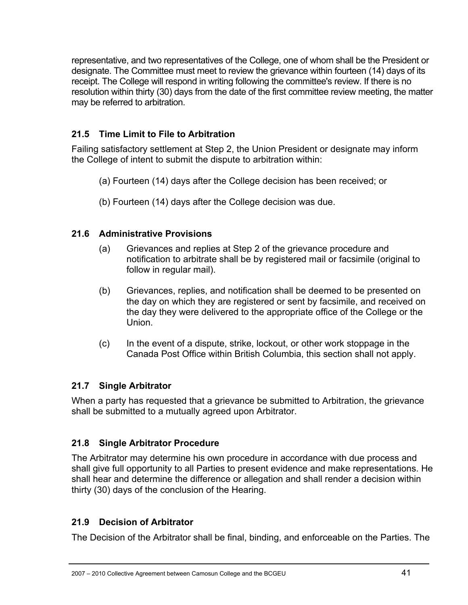representative, and two representatives of the College, one of whom shall be the President or designate. The Committee must meet to review the grievance within fourteen (14) days of its receipt. The College will respond in writing following the committee's review. If there is no resolution within thirty (30) days from the date of the first committee review meeting, the matter may be referred to arbitration.

### **21.5 Time Limit to File to Arbitration**

Failing satisfactory settlement at Step 2, the Union President or designate may inform the College of intent to submit the dispute to arbitration within:

- (a) Fourteen (14) days after the College decision has been received; or
- (b) Fourteen (14) days after the College decision was due.

### **21.6 Administrative Provisions**

- (a) Grievances and replies at Step 2 of the grievance procedure and notification to arbitrate shall be by registered mail or facsimile (original to follow in regular mail).
- (b) Grievances, replies, and notification shall be deemed to be presented on the day on which they are registered or sent by facsimile, and received on the day they were delivered to the appropriate office of the College or the Union.
- (c) In the event of a dispute, strike, lockout, or other work stoppage in the Canada Post Office within British Columbia, this section shall not apply.

### **21.7 Single Arbitrator**

When a party has requested that a grievance be submitted to Arbitration, the grievance shall be submitted to a mutually agreed upon Arbitrator.

### **21.8 Single Arbitrator Procedure**

The Arbitrator may determine his own procedure in accordance with due process and shall give full opportunity to all Parties to present evidence and make representations. He shall hear and determine the difference or allegation and shall render a decision within thirty (30) days of the conclusion of the Hearing.

### **21.9 Decision of Arbitrator**

The Decision of the Arbitrator shall be final, binding, and enforceable on the Parties. The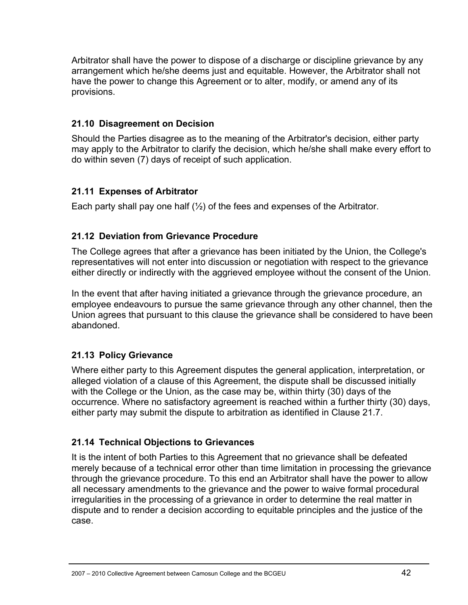Arbitrator shall have the power to dispose of a discharge or discipline grievance by any arrangement which he/she deems just and equitable. However, the Arbitrator shall not have the power to change this Agreement or to alter, modify, or amend any of its provisions.

### **21.10 Disagreement on Decision**

Should the Parties disagree as to the meaning of the Arbitrator's decision, either party may apply to the Arbitrator to clarify the decision, which he/she shall make every effort to do within seven (7) days of receipt of such application.

### **21.11 Expenses of Arbitrator**

Each party shall pay one half  $(\frac{1}{2})$  of the fees and expenses of the Arbitrator.

### **21.12 Deviation from Grievance Procedure**

The College agrees that after a grievance has been initiated by the Union, the College's representatives will not enter into discussion or negotiation with respect to the grievance either directly or indirectly with the aggrieved employee without the consent of the Union.

In the event that after having initiated a grievance through the grievance procedure, an employee endeavours to pursue the same grievance through any other channel, then the Union agrees that pursuant to this clause the grievance shall be considered to have been abandoned.

### **21.13 Policy Grievance**

Where either party to this Agreement disputes the general application, interpretation, or alleged violation of a clause of this Agreement, the dispute shall be discussed initially with the College or the Union, as the case may be, within thirty (30) days of the occurrence. Where no satisfactory agreement is reached within a further thirty (30) days, either party may submit the dispute to arbitration as identified in Clause 21.7.

### **21.14 Technical Objections to Grievances**

It is the intent of both Parties to this Agreement that no grievance shall be defeated merely because of a technical error other than time limitation in processing the grievance through the grievance procedure. To this end an Arbitrator shall have the power to allow all necessary amendments to the grievance and the power to waive formal procedural irregularities in the processing of a grievance in order to determine the real matter in dispute and to render a decision according to equitable principles and the justice of the case.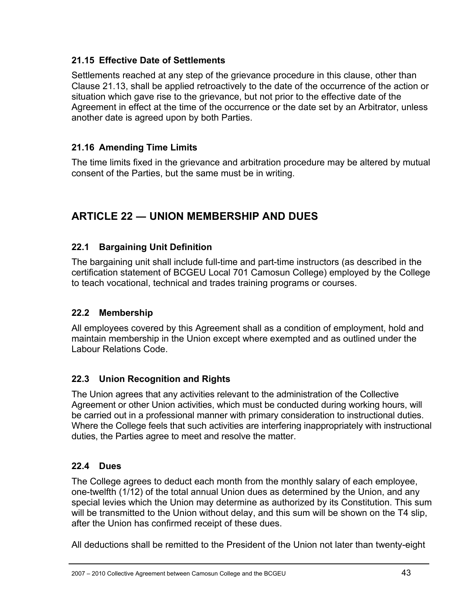### **21.15 Effective Date of Settlements**

Settlements reached at any step of the grievance procedure in this clause, other than Clause 21.13, shall be applied retroactively to the date of the occurrence of the action or situation which gave rise to the grievance, but not prior to the effective date of the Agreement in effect at the time of the occurrence or the date set by an Arbitrator, unless another date is agreed upon by both Parties.

### **21.16 Amending Time Limits**

The time limits fixed in the grievance and arbitration procedure may be altered by mutual consent of the Parties, but the same must be in writing.

# **ARTICLE 22 ― UNION MEMBERSHIP AND DUES**

### **22.1 Bargaining Unit Definition**

The bargaining unit shall include full-time and part-time instructors (as described in the certification statement of BCGEU Local 701 Camosun College) employed by the College to teach vocational, technical and trades training programs or courses.

### **22.2 Membership**

All employees covered by this Agreement shall as a condition of employment, hold and maintain membership in the Union except where exempted and as outlined under the Labour Relations Code.

### **22.3 Union Recognition and Rights**

The Union agrees that any activities relevant to the administration of the Collective Agreement or other Union activities, which must be conducted during working hours, will be carried out in a professional manner with primary consideration to instructional duties. Where the College feels that such activities are interfering inappropriately with instructional duties, the Parties agree to meet and resolve the matter.

### **22.4 Dues**

The College agrees to deduct each month from the monthly salary of each employee, one-twelfth (1/12) of the total annual Union dues as determined by the Union, and any special levies which the Union may determine as authorized by its Constitution. This sum will be transmitted to the Union without delay, and this sum will be shown on the T4 slip, after the Union has confirmed receipt of these dues.

All deductions shall be remitted to the President of the Union not later than twenty-eight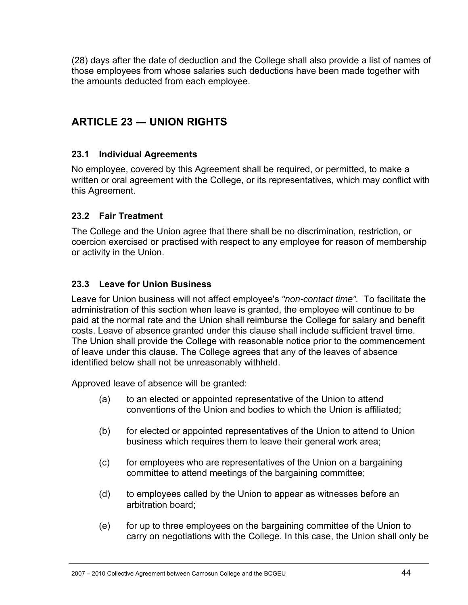(28) days after the date of deduction and the College shall also provide a list of names of those employees from whose salaries such deductions have been made together with the amounts deducted from each employee.

# **ARTICLE 23 ― UNION RIGHTS**

### **23.1 Individual Agreements**

No employee, covered by this Agreement shall be required, or permitted, to make a written or oral agreement with the College, or its representatives, which may conflict with this Agreement.

### **23.2 Fair Treatment**

The College and the Union agree that there shall be no discrimination, restriction, or coercion exercised or practised with respect to any employee for reason of membership or activity in the Union.

### **23.3 Leave for Union Business**

Leave for Union business will not affect employee's *"non-contact time".* To facilitate the administration of this section when leave is granted, the employee will continue to be paid at the normal rate and the Union shall reimburse the College for salary and benefit costs. Leave of absence granted under this clause shall include sufficient travel time. The Union shall provide the College with reasonable notice prior to the commencement of leave under this clause. The College agrees that any of the leaves of absence identified below shall not be unreasonably withheld.

Approved leave of absence will be granted:

- (a) to an elected or appointed representative of the Union to attend conventions of the Union and bodies to which the Union is affiliated;
- (b) for elected or appointed representatives of the Union to attend to Union business which requires them to leave their general work area;
- (c) for employees who are representatives of the Union on a bargaining committee to attend meetings of the bargaining committee;
- (d) to employees called by the Union to appear as witnesses before an arbitration board;
- (e) for up to three employees on the bargaining committee of the Union to carry on negotiations with the College. In this case, the Union shall only be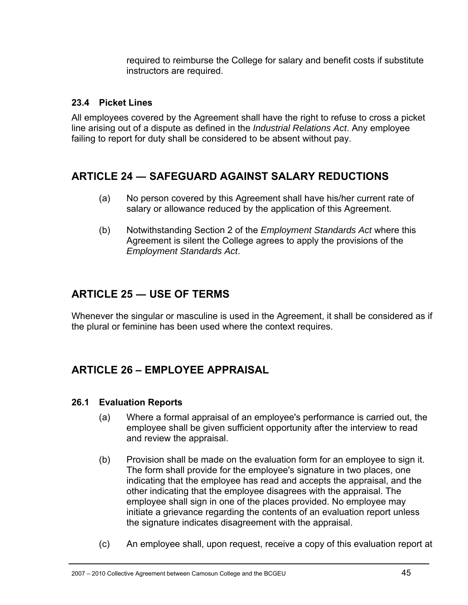required to reimburse the College for salary and benefit costs if substitute instructors are required.

### **23.4 Picket Lines**

All employees covered by the Agreement shall have the right to refuse to cross a picket line arising out of a dispute as defined in the *Industrial Relations Act*. Any employee failing to report for duty shall be considered to be absent without pay.

### **ARTICLE 24 ― SAFEGUARD AGAINST SALARY REDUCTIONS**

- (a) No person covered by this Agreement shall have his/her current rate of salary or allowance reduced by the application of this Agreement.
- (b) Notwithstanding Section 2 of the *Employment Standards Act* where this Agreement is silent the College agrees to apply the provisions of the *Employment Standards Act*.

# **ARTICLE 25 ― USE OF TERMS**

Whenever the singular or masculine is used in the Agreement, it shall be considered as if the plural or feminine has been used where the context requires.

# **ARTICLE 26 – EMPLOYEE APPRAISAL**

### **26.1 Evaluation Reports**

- (a) Where a formal appraisal of an employee's performance is carried out, the employee shall be given sufficient opportunity after the interview to read and review the appraisal.
- (b) Provision shall be made on the evaluation form for an employee to sign it. The form shall provide for the employee's signature in two places, one indicating that the employee has read and accepts the appraisal, and the other indicating that the employee disagrees with the appraisal. The employee shall sign in one of the places provided. No employee may initiate a grievance regarding the contents of an evaluation report unless the signature indicates disagreement with the appraisal.
- (c) An employee shall, upon request, receive a copy of this evaluation report at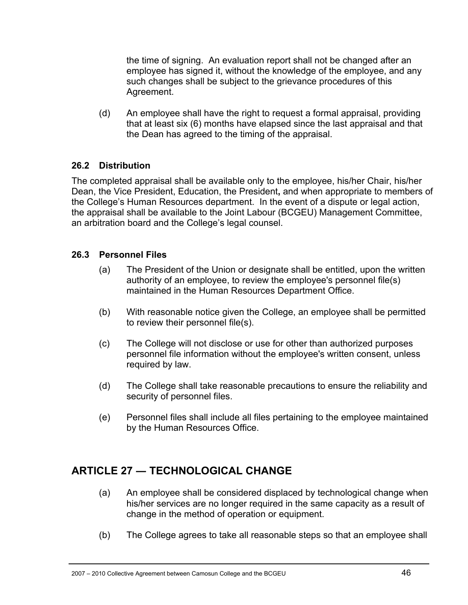the time of signing. An evaluation report shall not be changed after an employee has signed it, without the knowledge of the employee, and any such changes shall be subject to the grievance procedures of this Agreement.

(d) An employee shall have the right to request a formal appraisal, providing that at least six (6) months have elapsed since the last appraisal and that the Dean has agreed to the timing of the appraisal.

### **26.2 Distribution**

The completed appraisal shall be available only to the employee, his/her Chair, his/her Dean, the Vice President, Education, the President**,** and when appropriate to members of the College's Human Resources department. In the event of a dispute or legal action, the appraisal shall be available to the Joint Labour (BCGEU) Management Committee, an arbitration board and the College's legal counsel.

### **26.3 Personnel Files**

- (a) The President of the Union or designate shall be entitled, upon the written authority of an employee, to review the employee's personnel file(s) maintained in the Human Resources Department Office.
- (b) With reasonable notice given the College, an employee shall be permitted to review their personnel file(s).
- (c) The College will not disclose or use for other than authorized purposes personnel file information without the employee's written consent, unless required by law.
- (d) The College shall take reasonable precautions to ensure the reliability and security of personnel files.
- (e) Personnel files shall include all files pertaining to the employee maintained by the Human Resources Office.

# **ARTICLE 27 ― TECHNOLOGICAL CHANGE**

- (a) An employee shall be considered displaced by technological change when his/her services are no longer required in the same capacity as a result of change in the method of operation or equipment.
- (b) The College agrees to take all reasonable steps so that an employee shall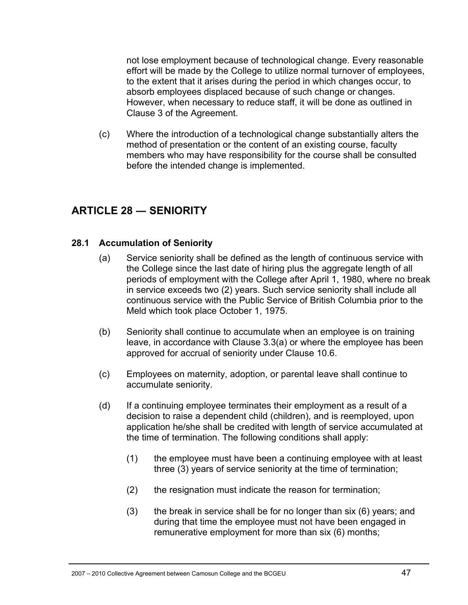not lose employment because of technological change. Every reasonable effort will be made by the College to utilize normal turnover of employees, to the extent that it arises during the period in which changes occur, to absorb employees displaced because of such change or changes. However, when necessary to reduce staff, it will be done as outlined in Clause 3 of the Agreement.

(c) Where the introduction of a technological change substantially alters the method of presentation or the content of an existing course, faculty members who may have responsibility for the course shall be consulted before the intended change is implemented.

### **ARTICLE 28 ― SENIORITY**

#### **28.1 Accumulation of Seniority**

- (a) Service seniority shall be defined as the length of continuous service with the College since the last date of hiring plus the aggregate length of all periods of employment with the College after April 1, 1980, where no break in service exceeds two (2) years. Such service seniority shall include all continuous service with the Public Service of British Columbia prior to the Meld which took place October 1, 1975.
- (b) Seniority shall continue to accumulate when an employee is on training leave, in accordance with Clause 3.3(a) or where the employee has been approved for accrual of seniority under Clause 10.6.
- (c) Employees on maternity, adoption, or parental leave shall continue to accumulate seniority.
- (d) If a continuing employee terminates their employment as a result of a decision to raise a dependent child (children), and is reemployed, upon application he/she shall be credited with length of service accumulated at the time of termination. The following conditions shall apply:
	- (1) the employee must have been a continuing employee with at least three (3) years of service seniority at the time of termination;
	- (2) the resignation must indicate the reason for termination;
	- (3) the break in service shall be for no longer than six (6) years; and during that time the employee must not have been engaged in remunerative employment for more than six (6) months;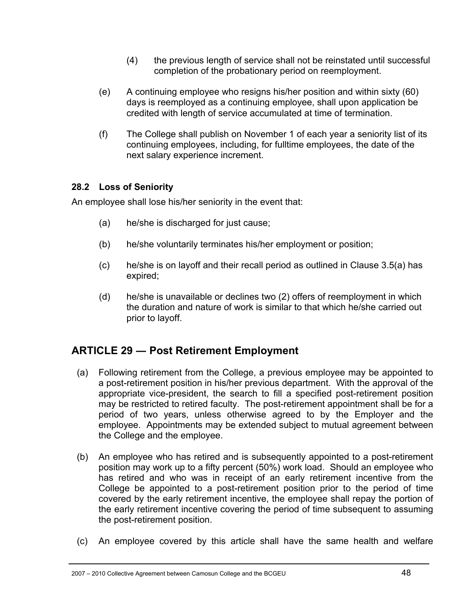- (4) the previous length of service shall not be reinstated until successful completion of the probationary period on reemployment.
- (e) A continuing employee who resigns his/her position and within sixty (60) days is reemployed as a continuing employee, shall upon application be credited with length of service accumulated at time of termination.
- (f) The College shall publish on November 1 of each year a seniority list of its continuing employees, including, for fulltime employees, the date of the next salary experience increment.

### **28.2 Loss of Seniority**

An employee shall lose his/her seniority in the event that:

- (a) he/she is discharged for just cause;
- (b) he/she voluntarily terminates his/her employment or position;
- (c) he/she is on layoff and their recall period as outlined in Clause 3.5(a) has expired;
- (d) he/she is unavailable or declines two (2) offers of reemployment in which the duration and nature of work is similar to that which he/she carried out prior to layoff.

### **ARTICLE 29 ― Post Retirement Employment**

- (a) Following retirement from the College, a previous employee may be appointed to a post-retirement position in his/her previous department. With the approval of the appropriate vice-president, the search to fill a specified post-retirement position may be restricted to retired faculty. The post-retirement appointment shall be for a period of two years, unless otherwise agreed to by the Employer and the employee. Appointments may be extended subject to mutual agreement between the College and the employee.
- (b) An employee who has retired and is subsequently appointed to a post-retirement position may work up to a fifty percent (50%) work load. Should an employee who has retired and who was in receipt of an early retirement incentive from the College be appointed to a post-retirement position prior to the period of time covered by the early retirement incentive, the employee shall repay the portion of the early retirement incentive covering the period of time subsequent to assuming the post-retirement position.
- (c) An employee covered by this article shall have the same health and welfare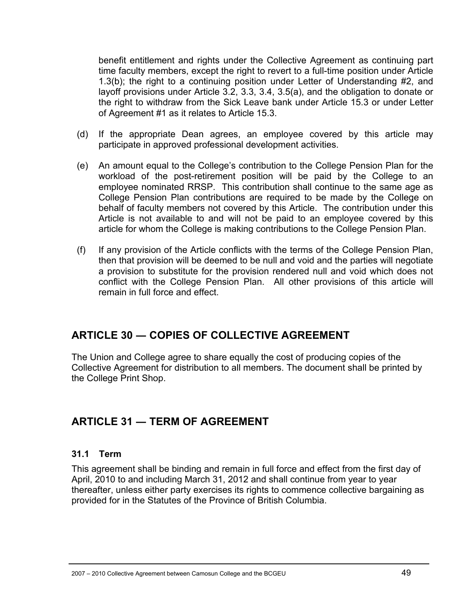benefit entitlement and rights under the Collective Agreement as continuing part time faculty members, except the right to revert to a full-time position under Article 1.3(b); the right to a continuing position under Letter of Understanding #2, and layoff provisions under Article 3.2, 3.3, 3.4, 3.5(a), and the obligation to donate or the right to withdraw from the Sick Leave bank under Article 15.3 or under Letter of Agreement #1 as it relates to Article 15.3.

- (d) If the appropriate Dean agrees, an employee covered by this article may participate in approved professional development activities.
- (e) An amount equal to the College's contribution to the College Pension Plan for the workload of the post-retirement position will be paid by the College to an employee nominated RRSP. This contribution shall continue to the same age as College Pension Plan contributions are required to be made by the College on behalf of faculty members not covered by this Article. The contribution under this Article is not available to and will not be paid to an employee covered by this article for whom the College is making contributions to the College Pension Plan.
- (f) If any provision of the Article conflicts with the terms of the College Pension Plan, then that provision will be deemed to be null and void and the parties will negotiate a provision to substitute for the provision rendered null and void which does not conflict with the College Pension Plan. All other provisions of this article will remain in full force and effect.

### **ARTICLE 30 ― COPIES OF COLLECTIVE AGREEMENT**

The Union and College agree to share equally the cost of producing copies of the Collective Agreement for distribution to all members. The document shall be printed by the College Print Shop.

# **ARTICLE 31 ― TERM OF AGREEMENT**

### **31.1 Term**

This agreement shall be binding and remain in full force and effect from the first day of April, 2010 to and including March 31, 2012 and shall continue from year to year thereafter, unless either party exercises its rights to commence collective bargaining as provided for in the Statutes of the Province of British Columbia.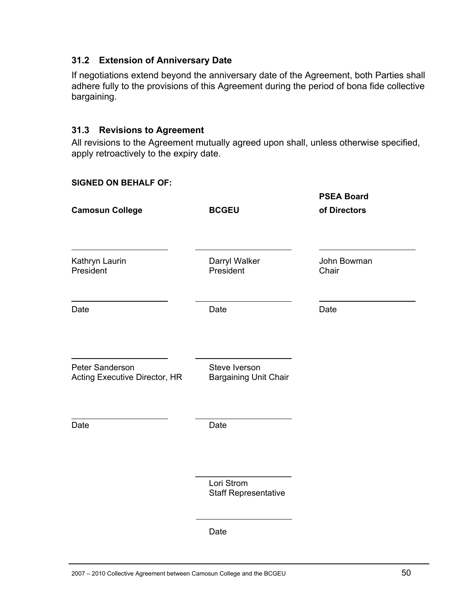#### **31.2 Extension of Anniversary Date**

If negotiations extend beyond the anniversary date of the Agreement, both Parties shall adhere fully to the provisions of this Agreement during the period of bona fide collective bargaining.

#### **31.3 Revisions to Agreement**

All revisions to the Agreement mutually agreed upon shall, unless otherwise specified, apply retroactively to the expiry date.

#### **SIGNED ON BEHALF OF:**

| <b>Camosun College</b>                           | <b>BCGEU</b>                                  | <b>PSEA Board</b><br>of Directors |
|--------------------------------------------------|-----------------------------------------------|-----------------------------------|
| Kathryn Laurin<br>President                      | Darryl Walker<br>President                    | John Bowman<br>Chair              |
| Date                                             | Date                                          | Date                              |
| Peter Sanderson<br>Acting Executive Director, HR | Steve Iverson<br><b>Bargaining Unit Chair</b> |                                   |
| Date                                             | Date                                          |                                   |
|                                                  | Lori Strom<br><b>Staff Representative</b>     |                                   |
|                                                  | Date                                          |                                   |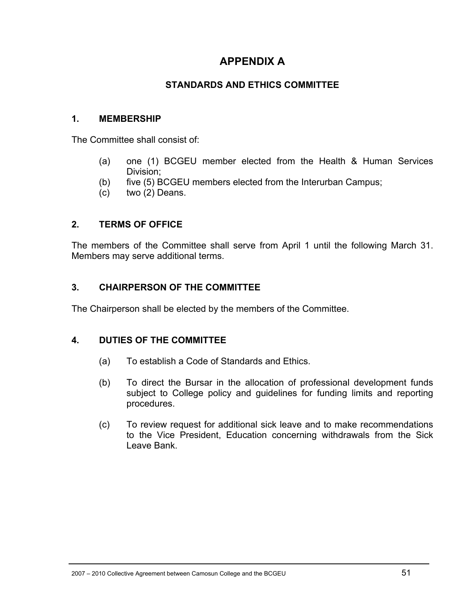### **APPENDIX A**

### **STANDARDS AND ETHICS COMMITTEE**

#### **1. MEMBERSHIP**

The Committee shall consist of:

- (a) one (1) BCGEU member elected from the Health & Human Services Division;
- (b) five (5) BCGEU members elected from the Interurban Campus;
- (c) two (2) Deans.

#### **2. TERMS OF OFFICE**

The members of the Committee shall serve from April 1 until the following March 31. Members may serve additional terms.

#### **3. CHAIRPERSON OF THE COMMITTEE**

The Chairperson shall be elected by the members of the Committee.

#### **4. DUTIES OF THE COMMITTEE**

- (a) To establish a Code of Standards and Ethics.
- (b) To direct the Bursar in the allocation of professional development funds subject to College policy and guidelines for funding limits and reporting procedures.
- (c) To review request for additional sick leave and to make recommendations to the Vice President, Education concerning withdrawals from the Sick Leave Bank.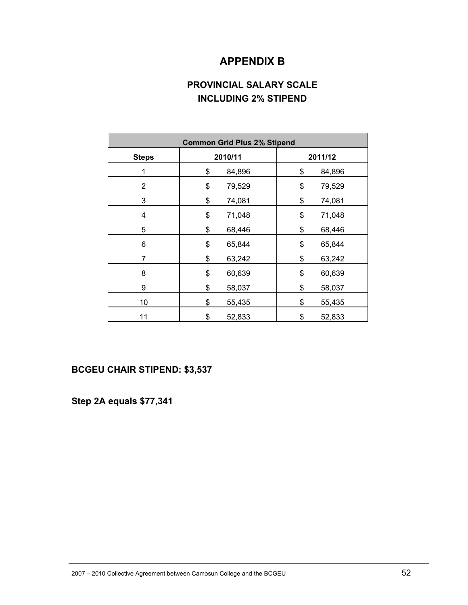### **APPENDIX B**

### **PROVINCIAL SALARY SCALE INCLUDING 2% STIPEND**

| <b>Common Grid Plus 2% Stipend</b> |              |              |
|------------------------------------|--------------|--------------|
| <b>Steps</b>                       | 2010/11      | 2011/12      |
| 1                                  | \$<br>84,896 | \$<br>84,896 |
| $\overline{c}$                     | \$<br>79,529 | \$<br>79,529 |
| 3                                  | \$<br>74,081 | \$<br>74,081 |
| 4                                  | \$<br>71,048 | \$<br>71,048 |
| 5                                  | \$<br>68,446 | \$<br>68,446 |
| 6                                  | \$<br>65,844 | \$<br>65,844 |
| 7                                  | \$<br>63,242 | \$<br>63,242 |
| 8                                  | \$<br>60,639 | \$<br>60,639 |
| 9                                  | \$<br>58,037 | \$<br>58,037 |
| 10                                 | \$<br>55,435 | \$<br>55,435 |
| 11                                 | \$<br>52,833 | \$<br>52,833 |

#### **BCGEU CHAIR STIPEND: \$3,537**

**Step 2A equals \$77,341**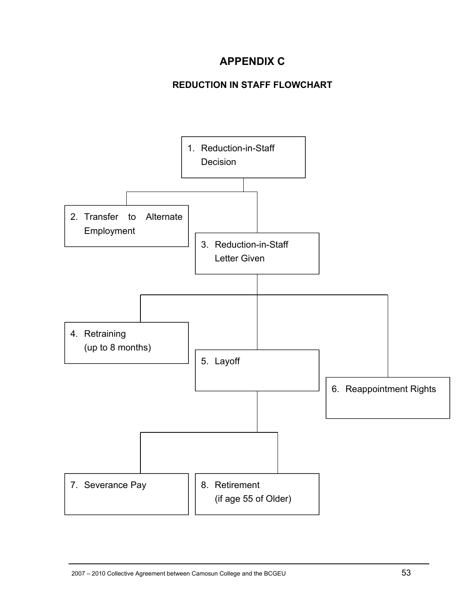# **APPENDIX C**

### **REDUCTION IN STAFF FLOWCHART**

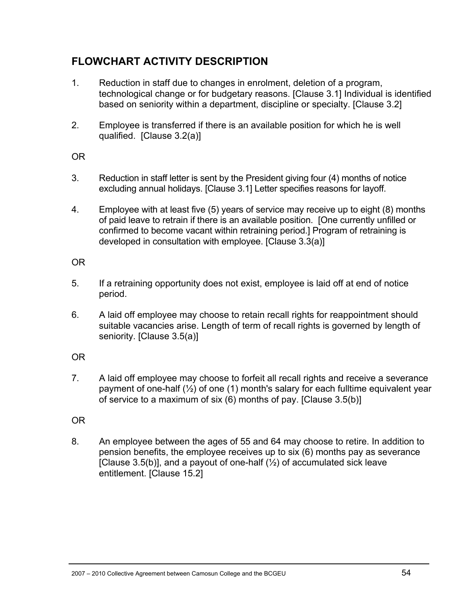### **FLOWCHART ACTIVITY DESCRIPTION**

- 1. Reduction in staff due to changes in enrolment, deletion of a program, technological change or for budgetary reasons. [Clause 3.1] Individual is identified based on seniority within a department, discipline or specialty. [Clause 3.2]
- 2. Employee is transferred if there is an available position for which he is well qualified. [Clause 3.2(a)]

OR

- 3. Reduction in staff letter is sent by the President giving four (4) months of notice excluding annual holidays. [Clause 3.1] Letter specifies reasons for layoff.
- 4. Employee with at least five (5) years of service may receive up to eight (8) months of paid leave to retrain if there is an available position. [One currently unfilled or confirmed to become vacant within retraining period.] Program of retraining is developed in consultation with employee. [Clause 3.3(a)]

### OR

- 5. If a retraining opportunity does not exist, employee is laid off at end of notice period.
- 6. A laid off employee may choose to retain recall rights for reappointment should suitable vacancies arise. Length of term of recall rights is governed by length of seniority. [Clause 3.5(a)]

### OR

7. A laid off employee may choose to forfeit all recall rights and receive a severance payment of one-half (½) of one (1) month's salary for each fulltime equivalent year of service to a maximum of six (6) months of pay. [Clause 3.5(b)]

### OR

8. An employee between the ages of 55 and 64 may choose to retire. In addition to pension benefits, the employee receives up to six (6) months pay as severance [Clause 3.5(b)], and a payout of one-half  $(\frac{1}{2})$  of accumulated sick leave entitlement. [Clause 15.2]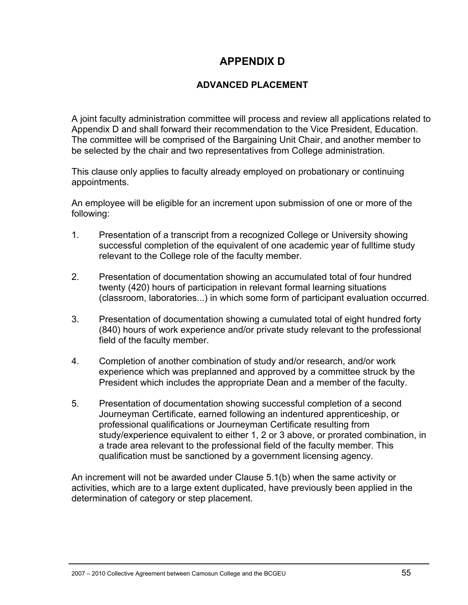### **APPENDIX D**

### **ADVANCED PLACEMENT**

A joint faculty administration committee will process and review all applications related to Appendix D and shall forward their recommendation to the Vice President, Education. The committee will be comprised of the Bargaining Unit Chair, and another member to be selected by the chair and two representatives from College administration.

This clause only applies to faculty already employed on probationary or continuing appointments.

An employee will be eligible for an increment upon submission of one or more of the following:

- 1. Presentation of a transcript from a recognized College or University showing successful completion of the equivalent of one academic year of fulltime study relevant to the College role of the faculty member.
- 2. Presentation of documentation showing an accumulated total of four hundred twenty (420) hours of participation in relevant formal learning situations (classroom, laboratories...) in which some form of participant evaluation occurred.
- 3. Presentation of documentation showing a cumulated total of eight hundred forty (840) hours of work experience and/or private study relevant to the professional field of the faculty member.
- 4. Completion of another combination of study and/or research, and/or work experience which was preplanned and approved by a committee struck by the President which includes the appropriate Dean and a member of the faculty.
- 5. Presentation of documentation showing successful completion of a second Journeyman Certificate, earned following an indentured apprenticeship, or professional qualifications or Journeyman Certificate resulting from study/experience equivalent to either 1, 2 or 3 above, or prorated combination, in a trade area relevant to the professional field of the faculty member. This qualification must be sanctioned by a government licensing agency.

An increment will not be awarded under Clause 5.1(b) when the same activity or activities, which are to a large extent duplicated, have previously been applied in the determination of category or step placement.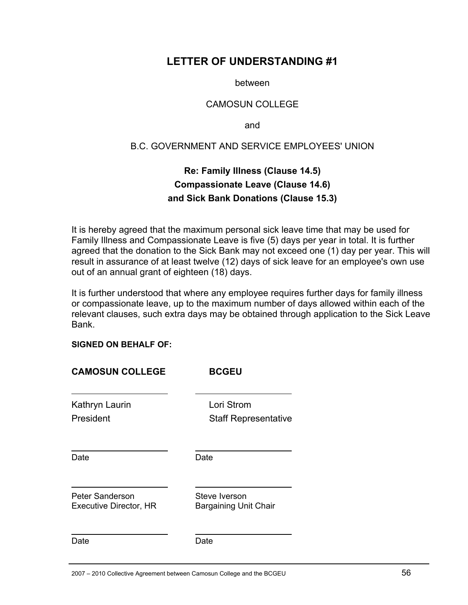### **LETTER OF UNDERSTANDING #1**

between

#### CAMOSUN COLLEGE

and

#### B.C. GOVERNMENT AND SERVICE EMPLOYEES' UNION

### **Re: Family Illness (Clause 14.5) Compassionate Leave (Clause 14.6) and Sick Bank Donations (Clause 15.3)**

It is hereby agreed that the maximum personal sick leave time that may be used for Family Illness and Compassionate Leave is five (5) days per year in total. It is further agreed that the donation to the Sick Bank may not exceed one (1) day per year. This will result in assurance of at least twelve (12) days of sick leave for an employee's own use out of an annual grant of eighteen (18) days.

It is further understood that where any employee requires further days for family illness or compassionate leave, up to the maximum number of days allowed within each of the relevant clauses, such extra days may be obtained through application to the Sick Leave Bank.

#### **SIGNED ON BEHALF OF:**

| <b>CAMOSUN COLLEGE</b>                    | <b>BCGEU</b>                                  |
|-------------------------------------------|-----------------------------------------------|
| Kathryn Laurin<br>President               | Lori Strom<br><b>Staff Representative</b>     |
| Date                                      | Date                                          |
| Peter Sanderson<br>Executive Director, HR | Steve Iverson<br><b>Bargaining Unit Chair</b> |
| Date                                      | Date                                          |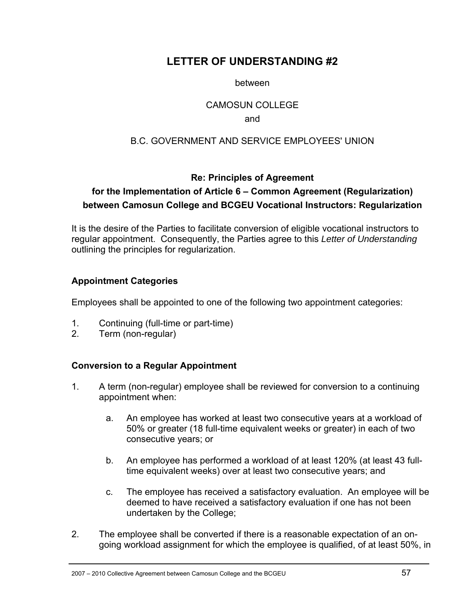### **LETTER OF UNDERSTANDING #2**

#### between

#### CAMOSUN COLLEGE

#### and

### B.C. GOVERNMENT AND SERVICE EMPLOYEES' UNION

### **Re: Principles of Agreement**

### **for the Implementation of Article 6 – Common Agreement (Regularization) between Camosun College and BCGEU Vocational Instructors: Regularization**

It is the desire of the Parties to facilitate conversion of eligible vocational instructors to regular appointment. Consequently, the Parties agree to this *Letter of Understanding* outlining the principles for regularization.

#### **Appointment Categories**

Employees shall be appointed to one of the following two appointment categories:

- 1. Continuing (full-time or part-time)
- 2. Term (non-regular)

### **Conversion to a Regular Appointment**

- 1. A term (non-regular) employee shall be reviewed for conversion to a continuing appointment when:
	- a. An employee has worked at least two consecutive years at a workload of 50% or greater (18 full-time equivalent weeks or greater) in each of two consecutive years; or
	- b. An employee has performed a workload of at least 120% (at least 43 fulltime equivalent weeks) over at least two consecutive years; and
	- c. The employee has received a satisfactory evaluation. An employee will be deemed to have received a satisfactory evaluation if one has not been undertaken by the College;
- 2. The employee shall be converted if there is a reasonable expectation of an ongoing workload assignment for which the employee is qualified, of at least 50%, in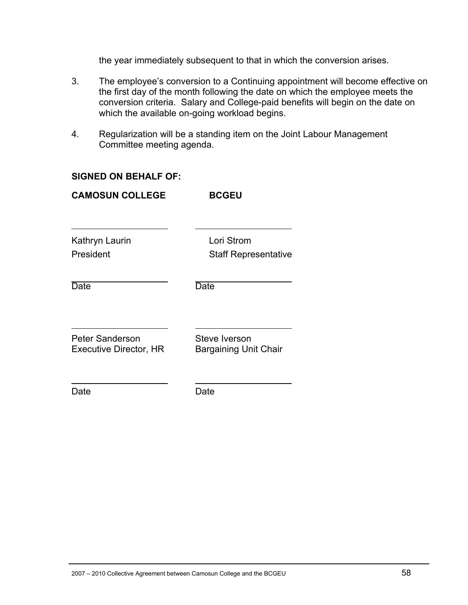the year immediately subsequent to that in which the conversion arises.

- 3. The employee's conversion to a Continuing appointment will become effective on the first day of the month following the date on which the employee meets the conversion criteria. Salary and College-paid benefits will begin on the date on which the available on-going workload begins.
- 4. Regularization will be a standing item on the Joint Labour Management Committee meeting agenda.

#### **SIGNED ON BEHALF OF:**

| <b>CAMOSUN COLLEGE</b>                                  | <b>BCGEU</b>                                  |
|---------------------------------------------------------|-----------------------------------------------|
| Kathryn Laurin<br>President                             | Lori Strom<br><b>Staff Representative</b>     |
| Date                                                    | Date                                          |
| <b>Peter Sanderson</b><br><b>Executive Director, HR</b> | Steve Iverson<br><b>Bargaining Unit Chair</b> |
| Date                                                    | Date                                          |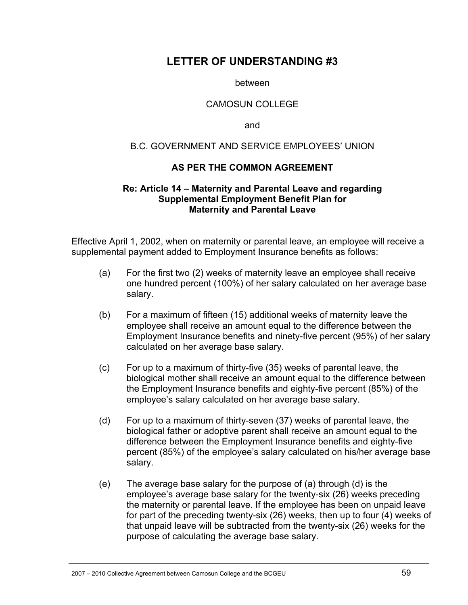### **LETTER OF UNDERSTANDING #3**

between

#### CAMOSUN COLLEGE

and

#### B.C. GOVERNMENT AND SERVICE EMPLOYEES' UNION

#### **AS PER THE COMMON AGREEMENT**

#### **Re: Article 14 – Maternity and Parental Leave and regarding Supplemental Employment Benefit Plan for Maternity and Parental Leave**

Effective April 1, 2002, when on maternity or parental leave, an employee will receive a supplemental payment added to Employment Insurance benefits as follows:

- (a) For the first two (2) weeks of maternity leave an employee shall receive one hundred percent (100%) of her salary calculated on her average base salary.
- (b) For a maximum of fifteen (15) additional weeks of maternity leave the employee shall receive an amount equal to the difference between the Employment Insurance benefits and ninety-five percent (95%) of her salary calculated on her average base salary.
- (c) For up to a maximum of thirty-five (35) weeks of parental leave, the biological mother shall receive an amount equal to the difference between the Employment Insurance benefits and eighty-five percent (85%) of the employee's salary calculated on her average base salary.
- (d) For up to a maximum of thirty-seven (37) weeks of parental leave, the biological father or adoptive parent shall receive an amount equal to the difference between the Employment Insurance benefits and eighty-five percent (85%) of the employee's salary calculated on his/her average base salary.
- (e) The average base salary for the purpose of (a) through (d) is the employee's average base salary for the twenty-six (26) weeks preceding the maternity or parental leave. If the employee has been on unpaid leave for part of the preceding twenty-six (26) weeks, then up to four (4) weeks of that unpaid leave will be subtracted from the twenty-six (26) weeks for the purpose of calculating the average base salary.